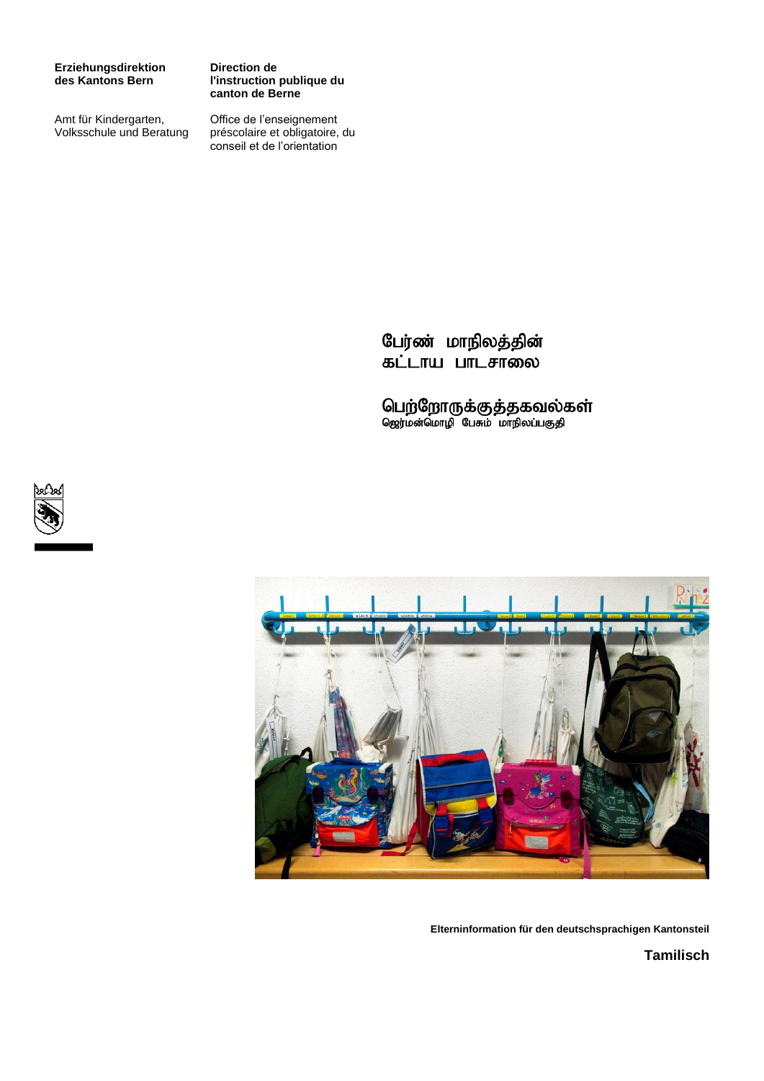# **Erziehungsdirektion des Kantons Bern**

Amt für Kindergarten, Volksschule und Beratung

**Direction de l'instruction publique du canton de Berne**

Office de l'enseignement préscolaire et obligatoire, du conseil et de l'orientation

> பேர்ண் மாநிலத்தின் கட்டாய பாடசாலை

பெற்றோருக்குத்தகவல்கள் ு.<br>ஜெர்மன்மொழி பேசும் மாநிலப்பகுதி





**Elterninformation für den deutschsprachigen Kantonsteil**

**Tamilisch**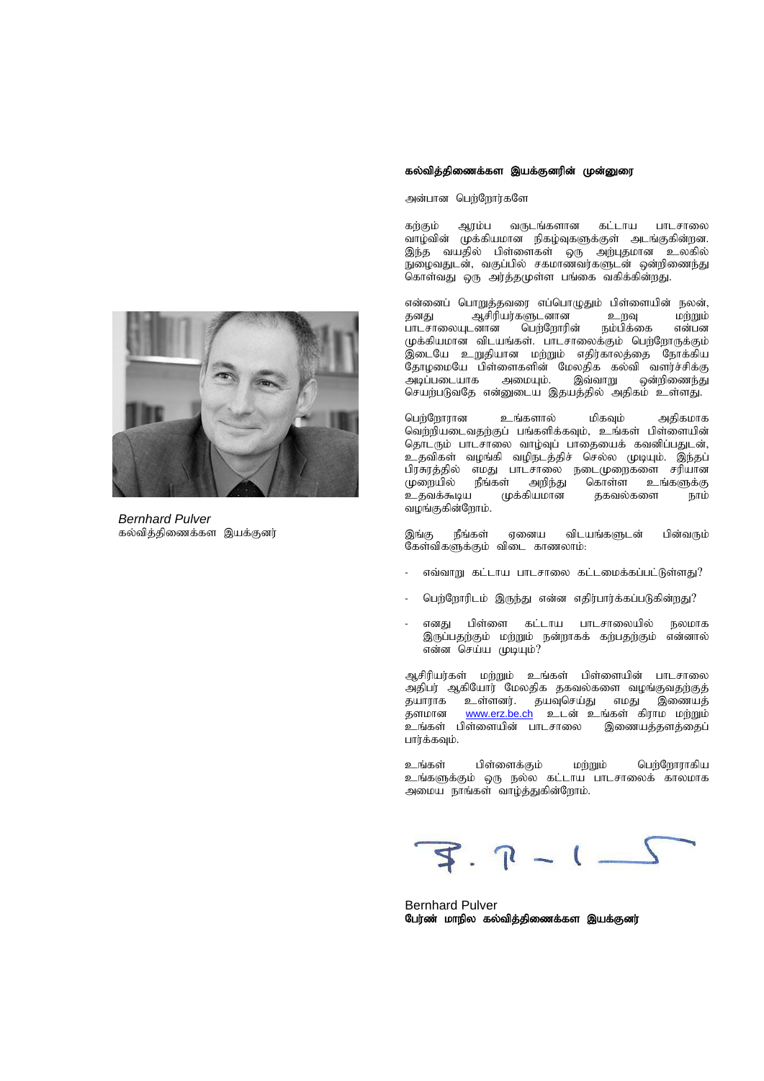

*Bernhard Pulver* கல்வித்திணைக்கள இயக்குனர்

### கல்வித்திணைக்கள இயக்குனரின் முன்னுரை

அன்பான பெற்றோர்களே

கற்கும் ஆரம்ப வருடங்களான கட்டாய பாடசாலை வாழ்வின் முக்கியமான நிகழ்வுகளுக்குள் அடங்குகின்றன. இந்த வயதில் பிள்ளைகள் ஒரு அற்புதமான உலகில் EiotJld ;> tFg ;gpy; rfkhztu;fSld ; xd;wpize;J கொள்வது ஒரு அர்த்தமுள்ள பங்கை வகிக்கின்றது.

vd;idg ; nghWj ;jtiu vg ;nghOJk; gps;isapd; eyd;> ஆசிரியர்களுடனான உறவு மற்றும்<br>புனான பெற்றோரின் நம்பிக்கை என்பன பாடசாலையுடனான பெற்றோரின் முக்கியமான விடயங்கள். பாடசாலைக்கும் பெற்றோருக்கும் இடையே உறுதியான மற்றும் எதிர்காலத்தை நோக்கிய தோழமையே பிள்ளைகளின் மேலதிக கல்வி வளர்ச்சிக்கு அடிப்படையாக அமையும். இவ்வாறு ஒன்றிணைந்து செயற்படுவதே என்னுடைய இதயத்தில் அதிகம் உள்ளது.

பெற்ளோரான உங்களால் மிகவம் அகிகமாக வெற்றியடைவதற்குப் பங்களிக்கவும், உங்கள் பிள்ளையின் தொடரும் பாட்சாலை வாழ்வுப் பாதையைக் கவனிப்பதுடன், உதவிகள் வழங்கி வழிநடத்திச் செல்ல முடியும். இந்தப் பிரசுரத்தில் எமது பாடசாலை நடைமுறைகளை சரியான<br>முறையில் நீங்கள் அறிந்து கொள்ள உங்களுக்கு நீங்கள் அறிந்து உதவக்கூடிய முக்கியமான தகவல்களை நாம் வழங்குகின்றோம்.

இங்கு நீங்கள் ஏனைய விடயங்களுடன் பின்வரும் கேள்விகளுக்கும் விடை காணலாம்:

- எவ்வாறு கட்டாய பாடசாலை கட்டமைக்கப்பட்டுள்ளது?
- பெற்றோரிடம் இருந்து என்ன எதிர்பார்க்கப்படுகின்றது?
- எனது பிள்ளை கட்டாய பாடசாலையில் நலமாக இருப்பதற்கும் மற்றும் நன்றாகக் கற்பதற்கும் என்னால் என்ன செய்ய முடியும்?

ஆசிரியர்கள் மற்றும் உங்கள் பிள்ளையின் பாடசாலை அதிபர் ஆகியோர் மேலதிக தகவல்களை வழங்குவதற்குத் தயாராக உள்ளனர். தயவுசெய்து எமது இணையத்<br>களமான www.erz.be.ch உடன் உங்கள் கிாாம மற்றும் <u>[www.erz.be.ch](http://www.erz.be.ch/)</u> உடன் உங்கள் கிராம மற்றும்<br>பிள்ளையின் பாடசாலை இணையத்தளத்தைப் .<br>உங்கள் பிள்ளையின் பாடசாலை பார்க்கவும்.

உங்கள் பிள்ளைக்கும் மற்றும் பெற்றோராகிய உங்களுக்கும் ஒரு நல்ல கட்டாய பாடசாலைக் காலமாக அமைய நாங்கள் வாழ்த்துகின்றோம்.

Bernhard Pulver பேர்ண் மாநில கல்வித்திணைக்கள இயக்குனர்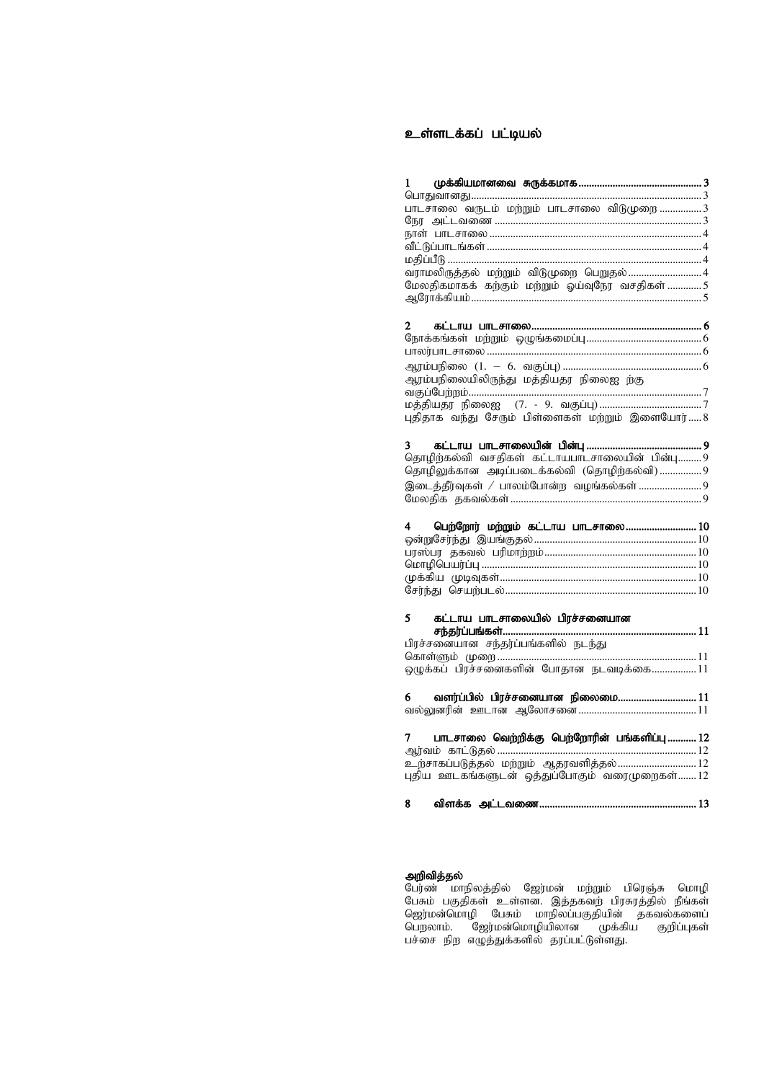# உள்ளடக்கப் பட்டியல்

| பாடசாலை வருடம் மற்றும் பாடசாலை விடுமுறை……………3       |  |
|-----------------------------------------------------|--|
|                                                     |  |
|                                                     |  |
|                                                     |  |
|                                                     |  |
| வராமலிருத்தல் மற்றும் விடுமுறை பெறுதல்………………………4    |  |
| மேலதிகமாகக் கற்கும் மற்றும் ஓய்வுநேர வசதிகள்…………5   |  |
|                                                     |  |
|                                                     |  |
|                                                     |  |
| நோக்கங்கள் மற்றும் ஒழுங்கமைப்பு…………………………………………………6 |  |
|                                                     |  |
|                                                     |  |
| ஆரம்பநிலையிலிருந்து மத்தியதர நிலைஐ ந்கு             |  |
| வகுப்பேற்றம்                                        |  |
|                                                     |  |
| புதிதாக வந்து சேரும் பிள்ளைகள் மற்றும் இளையோர்…8    |  |
|                                                     |  |
| $\mathbf{3}$                                        |  |
|                                                     |  |

| தொழிற்கல்வி வசதிகள் கட்டாயபாடசாலையின் பின்பு9    |  |
|--------------------------------------------------|--|
| தொழிலுக்கான அடிப்படைக்கல்வி (தொழிற்கல்வி)  9     |  |
|                                                  |  |
|                                                  |  |
| இடைத்தீர்வுகள் / பாலம்போன்ற வழங்கல்கள்…………………….9 |  |

| 4 பெற்றோர் மற்றும் கட்டாய பாடசாலை 10 |  |
|--------------------------------------|--|
|                                      |  |
|                                      |  |
|                                      |  |
|                                      |  |
|                                      |  |

# 5 கட்டாய பாடசாலையில் பிரச்சனையான

| பிரச்சனையான சந்தர்ப்பங்களில் நடந்து          |  |
|----------------------------------------------|--|
|                                              |  |
| ஒழுக்கப் பிரச்சனைகளின் போதான நடவடிக்கை11     |  |
| 6 —                                          |  |
| வளர்ப்பில் பிரச்சனையான நிலைமை 11             |  |
|                                              |  |
|                                              |  |
| பாடசாலை வெற்றிக்கு பெற்றோரின் பங்களிப்பு  12 |  |
|                                              |  |
| உற்சாகப்படுத்தல் மற்றும் ஆதரவளித்தல் 12      |  |
| புதிய ஊடகங்களுடன் ஒத்துப்போகும் வரைமுறைகள்12 |  |
| 8.                                           |  |
|                                              |  |

### அறிவித்தல்

பேர்ண் மாநிலத்தில் ஜேர்மன் மற்றும் பிரெஞ்சு மொழி பேசும் பகுதிகள் உள்ளன. இத்தகவற் பிரசுரத்தில் நீங்கள் ஜெர்மன்மொழி பேசும் மாநிலப்பகுதியின் தகவல்களைப் பெறலாம். ஜேர்மன்மொழியிலான முக்கிய குறிப்புகள் பச்சை நிற எழுத்துக்களில் தரப்பட்டுள்ளது.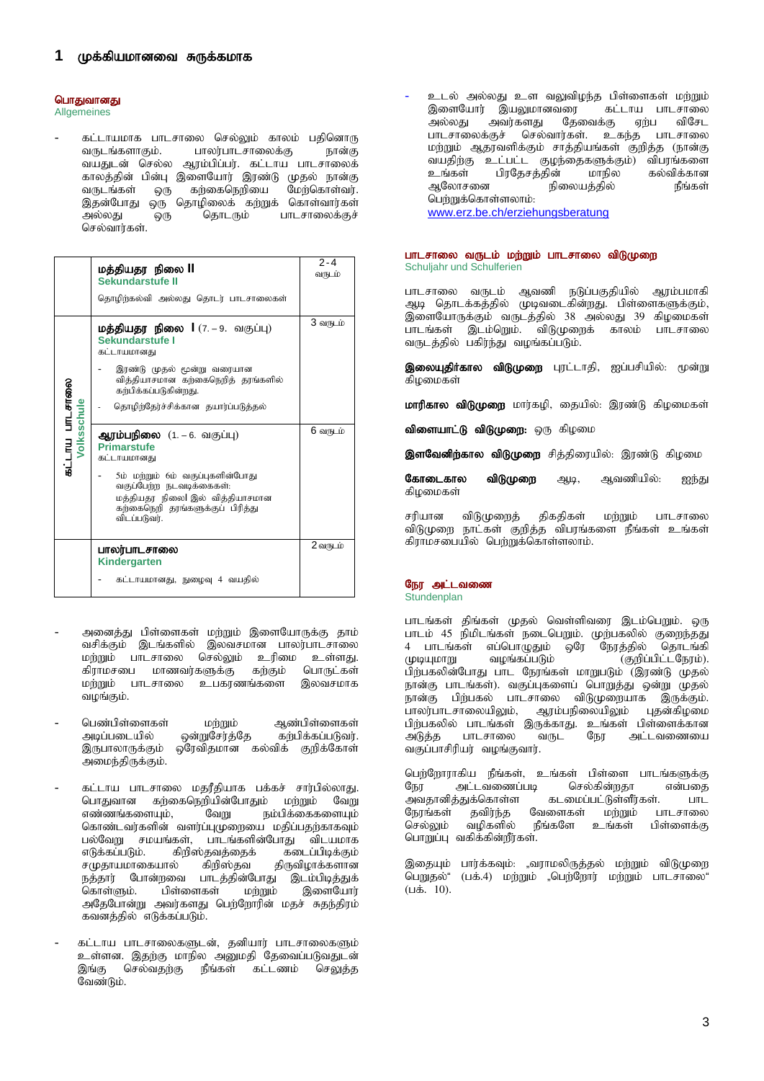# <span id="page-3-1"></span><span id="page-3-0"></span>பொதுவானது

**Allgemeines** 

- fl;lhakhf ghlrhiy nry;Yk; fhyk; gjpndhU பாலர்பாடசாலைக்கு வயதுடன் செல்ல ஆரம்பிப்பர். கட்டாய பாடசாலைக் காலத்தின் பின்பு இளையோர் இரண்டு முதல் நான்கு<br>வருடங்கள் ஒரு கற்கைநெறியை மேற்கொள்வர். ………<br>கற்கைநெறியை ,<br>இதன்போது ஒரு தொழிலைக் கற்றுக் கொள்வார்கள்<br>அல்லது ஒரு கொடரும் பாடசாலைக்குச் பாடசாலைக்குச் செல்வார்கள்.

|                               | மத்தியதர நிலை <b>II</b><br>Sekundarstufe II<br>தொழிற்கல்வி அல்லது தொடர் பாடசாலைகள்                                                                                                                                                           | $2 - 4$<br>வருடம் |
|-------------------------------|----------------------------------------------------------------------------------------------------------------------------------------------------------------------------------------------------------------------------------------------|-------------------|
|                               | <b>மத்தியதர நிலை  </b> $(7. - 9.$ வகுப்பு)<br>Sekundarstufe I<br>கட்டாயமானது<br>இரண்டு முதல் மூன்று வரையான<br>வித்தியாசமான கற்கைநெறித் தரங்களில்<br>கற்பிக்கப்படுகின்றது.<br>தொழிற்தேர்ச்சிக்கான தயார்ப்படுத்தல்<br>$\overline{\phantom{a}}$ | 3 வருடம்          |
| கட்டாய பாடசாலை<br>Volksschule | <b>ஆரம்பநிலை</b> (1. – 6. வகுப்பு)<br><b>Primarstufe</b><br>கட்டாயமானது<br>5ம் மற்றும் 6ம் வகுப்புகளின்போது<br>வகுப்பேற்ற நடவடிக்கைகள்:<br>மத்தியதர நிலை  இல் வித்தியாசமான<br>கற்கைநெறி தரங்களுக்குப் பிரித்து<br>விடப்படுவர்.               | 6 வருடம்          |
|                               | பாலர்பாடசாலை<br>Kindergarten<br>கட்டாயமானது, நுழைவு 4 வயதில்                                                                                                                                                                                 | 2 வருடம்          |

- அனைத்து பிள்ளைகள் மற்றும் இளையோருக்கு தாம் வசிக்கும் இடங்களில் இலவசமான பாலர்பாட்சாலை<br>மா்ப்யம் பாடசாலை செல்லும் உரிமை உள்ளது. மற்றும் பாட்சாலை செல்லும் உரிமை உள்ளது.<br>கிராமசபை மாணவர்களுக்கு கற்கும் பொருட்கள் கிராமசபை மாணவர்களுக்கு மற்றும் பாடசாலை உபகரணங்களை இலவசமாக வழங்கும்.
- பெண்பிள்ளைகள் மற்றும் ஆண்பிள்ளைகள்<br>அடிப்படையில் ஒன்றுசேர்த்தே கற்பிக்கப்படுவர். கர்பிக்கப்படுவர். இருபாலாருக்கும் ஒரேவிதமான கல்விக் குறிக்கோள் அமைந்திருக்கும்.
- கட்டாய பாடசாலை மதரீதியாக பக்கச் சார்பில்லாது.<br>பொகுவான கங்கைநெயிரின்போகும் மங்யம் வேங பொதுவான கற்கைநெறியின்போதும் மற்றும்<br>எண்ணங்களையும், வேறு நம்பிக்கைக நம்பிக்கைகளையும் கொண்டவர்களின் வளர்ப்புமுறையை மதிப்பதற்காகவும் பல்வேறு சமயங்கள், பாடங்களின்போது விடயமாக<br>எடுக்கப்படும். கிறிஸ்கவக்கைக் கடைப்பிடிக்கும் எடுக்கப்படும். கிறிஸ்தவத்தைக்<br>சமுதாயமாகையால் கிறிஸ்தவ திருவிழாக்களான நத்தார் போன்றவை பாடத்தின்போது இடம்பிடித்துக்<br>கொள்ளும். பிள்ளைகள் மற்றும் இளையோர்  $\tilde{\text{a}}$ ிள்ளைகள் $\tilde{\text{b}}$ அதேபோன்று அவர்களது பெற்றோரின் மதச் சுதந்திரம் கவனத்தில் எடுக்கப்படும்.
- கட்டாய பாடசாலைகளுடன், தனியார் பாடசாலைகளும் உள்ளன. இதற்கு மாநில அனுமதி தேவைப்படுவதுடன்<br>இங்கு செல்வதற்கு நீங்கள் கட்டணம் செலுத்த கட்டணம் செலுக்க வேண்டும்.

உடல் அல்லது உள வலுவிழந்த பிள்ளைகள் மற்றும்<br>இளையோர் இயலுமானவரை - கட்டாய பாடசாலை இளையோர் இயலுமானவரை ் கட்டாய பாடசாலை<br>அல்லது அவர்களது தேவைக்கு ஏற்ப விசேட அல்லது அவர்களது தேவைக்கு ஏற்ப விசேட பாடசாலைக்குச் செல்வார்கள். உகந்த பாடசாலை மற்றும் ஆதரவளிக்கும் சாத்தியங்கள் குறித்த (நான்கு ்வயதிற்கு உட்பட்ட குழந்தைகளுக்கும்) விபரங்களை<br>உங்கள் பிரகேசக்கின் மாநில கல்விக்கான உங்கள் பிரதேசத்தின் மாநில கல்விக்கான<br>ஆலோசனை நிலையத்தில் - நீங்கள் நிலையத்தில் பெற்றுக்கொள்ளலாம்:

[www.erz.be.ch/erziehungsberatung](http://www.erz.be.ch/erziehungsberatung)

### <span id="page-3-2"></span>பாடசாலை வருடம் மற்றும் பாடசாலை விடுமுறை Schuljahr und Schulferien

பாடசாலை வருடம் ஆவணி நடுப்பகுதியில் ஆரம்பமாகி ஆடி தொடக்கத்தில் முடிவடைகின்றது. பிள்ளைகளுக்கும், இளையோருக்கும் வருடத்தில் 38 அல்லது 39 கிழமைகள் ு……<br>பாடங்கள் இடம்றுெம். விடுமுறைக் காலம் பாடசாலை வருடத்தில் பகிர்ந்து வழங்கப்படும்.

இலையுதிர்கால விடுமுறை புரட்டாதி, ஐப்பசியில்: மூன்று கிழமைகள்

மாரிகால விடுமுறை மார்கமி, தையில்: இரண்டு கிழமைகள்

விளையாட்டு விடுமுறை: ஒரு கிழமை

இளவேனிற்கால விடுமுறை சித்திரையில்: இரண்டு கிழமை

கோடைகால விடுமுறை ஆடி, ஆவணியில்: ஐந்து கிழமைகள்

சரியான விடுமுறைத் திகதிகள் மற்றும் பாடசாலை விடுமுறை நாட்கள் குறித்த விபரங்களை நீங்கள் உங்கள் கிராமசபையில் பெற்றுக்கொள்ளலாம்.

### <span id="page-3-3"></span>நேர அட்டவணை

### **Stundenplan**

பாடங்கள் திங்கள் முதல் வெள்ளிவரை இடம்பெறும். ஒரு பாடம் 45 நிமிடங்கள் நடைபெறும். முற்பகலில் குறைந்தது 4 ghlq;fs; vg ;nghOJk; xNu Neuj;jpy; njhlq;fp  $(\sigma_0)$ ம்பிட்டநேரம்). .<br>பிற்பகலின்போது பாட நேரங்கள் மாறுபடும் (இரண்டு முதல் .<br>நான்கு பாடங்கள்), வசுப்பகளைப் பொறுக்கு ஒன்று முகல் .<br>நான்கு பிற்பகல் பாடசாலை விடுமுறையாக இருக்கும். .<br>பாலர்பாடசாலையிலும், ஆரம்பநிலையிலும் புதன்கிழமை பிற்பகலில் பாடங்கள் இருக்காது. உங்கள் பிள்ளைக்கான<br>அடுத்த பாடசாலை வருட நேர அட்டவணையை அட்டவணையை வகுப்பாசிரியர் வழங்குவார்.

பெற்றோராகிய நீங்கள், உங்கள் பிள்ளை பாடங்களுக்கு<br>நேர அட்டவணைப்படி செல்கின்றதா என்பதை அட்டவணைப்படி செல்கின்றதா என்பதை<br>க்குக்கொள்ள கடமைப்பட்டுள்ளீர்கள். பாட .<br>அவதானித்துக்கொள்ள கடமைப்பட்டுள்ளீர்கள். பாட<br>நேரங்கள் தவிர்ந்த வேளைகள் மற்றும் பாடசாலை நேரங்கள் தவிர்ந்த வேளைகள் மற்றும் பாடசாலை<br>செல்லும் வமிகளில் நீங்களே உங்கள் பிள்ளைக்கு நீங்களே பொறுப்ப வகிக்கின்றீர்கள்.

இதையும் பார்க்கவும்: "வராமலிருத்தல் மற்றும் விடுமுறை பெறுதல்" (பக்.4) மற்றும் "பெற்றோர் மற்றும் பாடசாலை"  $(µ\ddot{a}. 10).$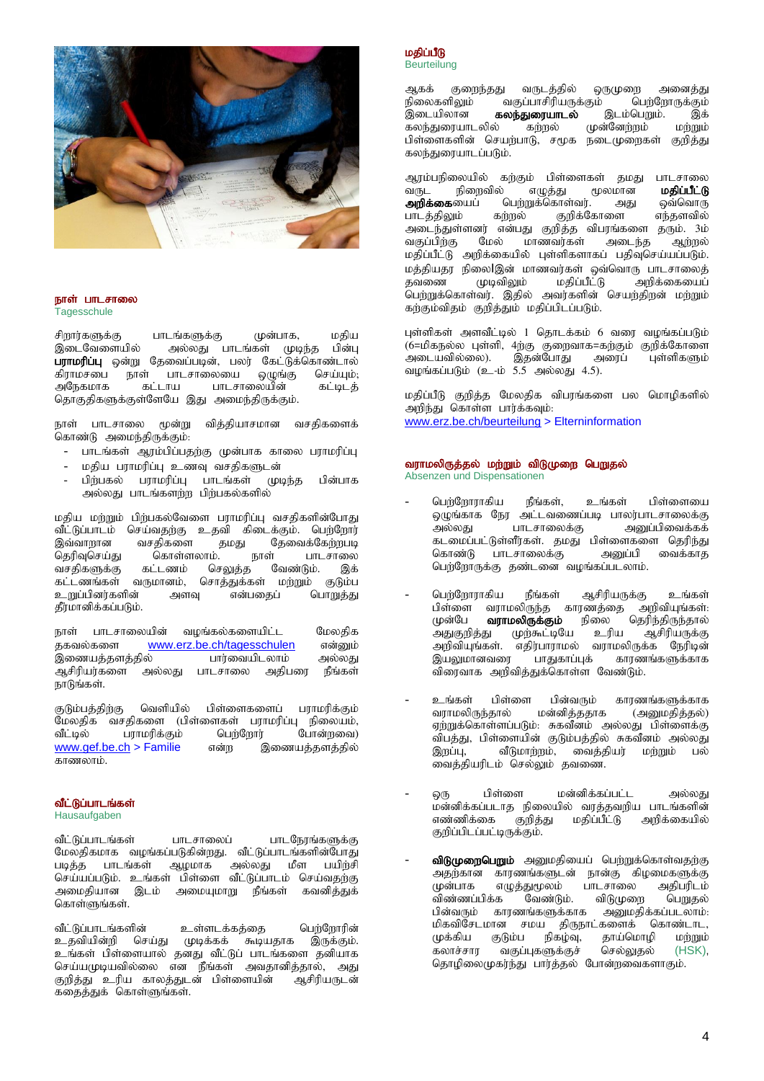

#### <span id="page-4-0"></span>நாள் பாடசாலை **Tagesschule**

rpwhu;fSf;F ghlq;fSf;F Kd;ghf> kjpa அல்லது பாடங்கள் முடிந்த **பராமரிப்பு** ஒன்று தேவைப்படின், பலர் கேட்டுக்கொண்டால்<br>கிராமசபை நாள் பாடசாலையை மைங்க செய்யம்: கிராமசபை நாள் பாடசாலையை ஒழுங்கு செய்யும்;<br>அநேகமாக கட்டாய பாடசாலையின் கட்டிடத் கட்டாய பாடசாலையின் தொகுதிகளுக்குள்ளேயே இது அமைந்திருக்கும்.

நாள் பாடசாலை மூன்று வித்தியாசமான வசதிகளைக் ்கொண்டு அமைந்திருக்கும்:

- பாடங்கள் ஆரம்பிப்பதற்கு முன்பாக காலை பராமரிப்பு
- மதிய பராமரிப்பு உணவு வசதிகளுடன்
- பிற்பகல் பராமரிப்பு பாடங்கள் முடிந்த பின்பாக அல்லது பாடங்களற்ற பிற்பகல்களில<mark>்</mark>

மதிய மற்றும் பிற்பகல்வேளை பராமரிப்பு வசதிகளின்போது வீட்டுப்பாடம் செய்வதற்கு உதவி கிடைக்கும். பெற்றோர்<br>இவ்வாறான வசதிகளை தமது தேவைக்கேற்றபடி இவ்வாறான வசதிகளை தமது தேவைக்கேற்றபடி<br>தெரிவுசெய்து கொள்ளலாம். நாள் பாடசாலை njupTnra ;J nfhs;syhk;. ehs; ghlrhiy வசதிகளுக்கு ்கட்டணங்கள் வருமானம், சொத்துக்கள் மற்றும் குடும்ப<br>உறுப்பினர்களின் அளவு என்பதைப் பொறுத்து உறுப்பினர்களின் தீர்மானிக்கப்படும்.

நாள் பாடசாலையின் வழங்கல்களையிட்ட மேலதிக<br>ககவல்களை www.erz.be.ch/tagesschulen என்னம் .<br>தகவல்களை <u>[www.erz.be.ch/tagesschulen](http://www.erz.be.ch/tagesschulen)</u><br>இணையத்தளத்தில் பார்வையிடலாம் ,izaj ;jsj ;jpy; ghu ;itaplyhk; my;yJ அ.சிரியர்களை அல்லது  $\overline{b}$ ருநெங்கள்.

குடும்பத்திற்கு வெளியில் பிள்ளைகளைப் பராமரிக்கும் மேலதிக வசதிகளை (பிள்ளைகள் பராமரிப்பு நிலையம்,<br>வீட்டில் பராமரிக்கும் பெற்றோர் போன்றவை) t Pl;by; guhkupf ;Fk; ngw ;Nwhu; Nghd;wit) [www.gef.be.ch](http://www.gef.be.ch/) > Familie என்ற காணலாம்.

### <span id="page-4-1"></span>வீட்டுப்பாடங்கள்

**Hausaufgaben** 

வீட்டுப்பாடங்கள் பாடசாலைப் பாடநேரங்களுக்கு மேலதிகமாக வழங்கப்படுகின்றது. வீட்டுப்பாடங்களின்போது படித்த பாடங்கள் ஆழமாக அல்லது மீள பயிற்சி செய்யப்படும். உங்கள் பிள்ளை வீட்டுப்பாடம் செய்வதற்கு அமைதியான இடம் அமையுமாறு நீங்கள் கவனித்துக் கொள்ளுங்கள்.

வீட்டுப்பாடங்களின் உள்ளடக்கத்தை பெற்றோரின்<br>உகவியின்றி செய்கு முடிக்கக் கூடியதாக இருக்கும். கூடியகாக இருக்கும். உங்கள் பிள்ளையால் தனது வீட்டுப் பாடங்களை தனியாக செய்யமுடியவில்லை என நீங்கள் அவதானித்தால், அது<br>குறிக்கு உரிய காலக்துடன் பிள்ளையின் அ.சிரியருடன் குறித்து உரிய காலத்துடன் பிள்ளையின் .<br>கதைத்துக் கொள்ளுங்கள்.

### <span id="page-4-2"></span>மகிப்பீடு Beurteilung

ஆகக் குறைந்தது வருடத்தில் ஒருமுறை அனைத்து<br>நிலைகளிலும் வகுப்பாசிரியருக்கும் பெர்ரோருக்கும் நிலைகளிலும் வகுப்பாசிரியருக்கும் பெற்றோருக்கும்<br>இடையிலான **கலந்துரையாடல்** இடம்பெறும். இக் **கலந்துரையாடல்** இடம்பெறும். இக்<br>ல் கற்றல் முன்னேற்றம் மற்றும் கலந்துரையாடலில் .<br>பிள்ளைகளின் செயற்பாடு, சமூக நடைமுறைகள் குறித்து கலந்துரையாடப்படும்.

ஆரம்பநிலையில் கற்கும் பிள்ளைகள் தமது பாடசாலை<br>வருட நிறைவில் எழுத்து மூலமான **மதிப்பீட்டு** வருட நிறைவில் எழுத்து மூலமான **மதிப்பீட்டு**<br>**அறிக்கை**யைப் பெற்றுக்கொள்வர். அது ஒவ்வொரு **அறிக்கை**யைப் பெற்றுக்கொள்வர். அது ஒவ்வொரு<br>பாடத்திலும் கற்றல் குறிக்கோளை எந்தளவில் குறிக்கோளை அடைந்துள்ளனர் என்பது குறித்த விபரங்களை தரும். 3ம்<br>வகுப்பிற்கு மேல் மாணவர்கள் அடைந்த ஆற்றல் .<br>மேல் மாணவர்கள் அடைந்த மதிப்பீட்டு அறிக்கையில் புள்ளிகளாகப் பதிவுசெய்யப்படும். மத்தியதர நிலை**|**இன் மாணவர்கள் ஒவ்வொரு பாடசாலைத் தவணை முடிவிலும் மதிப்பீட்டு அறிக்கையைப் தையை : முடிவதும் - மதங்களு - குதியையையும்<br>பெற்றுக்கொள்வர். இதில் அவர்களின் செயற்திறன் மற்றும் கற்கும்விதம் குறித்தும் மதிப்பிடப்படும்.

புள்ளிகள் அளவீட்டில் 1 தொடக்கம் 6 வரை வழங்கப்படும் (6=மிகநல்ல புள்ளி, 4ற்கு குறைவாக=கற்கும் குறிக்கோளை அடையவில்லை). இதன்போது அரைப் புள்ளிகளும் வழங்கப்படும் (உ-ம் 5.5 அல்லது 4.5).

மதிப்பீடு குறித்த மேலதிக விபரங்களை பல மொழிகளில்  $m$ ந்து கொள்ள பார்க்கவம்: [www.erz.be.ch/beurteilung](http://www.erz.be.ch/beurteilung) > Elterninformation

#### <span id="page-4-3"></span>வராமலிருத்தல் மற்றும் விடுமுறை பெறுதல் Absenzen und Dispensationen

- பெற்றோராகிய நீங்கள், உங்கள் பிள்ளையை xOq;fhf Neu ml;ltizg ;gb ghyu;ghlrhiyf;F  $\mathcal{P}$ னுப்பிவைக்கக் கடமைப்பட்டுள்ளீர்கள். தமது பிள்ளைகளை தெரிந்து<br>கொண்டு பாடசாலைக்கு அனுப்பி வைக்காத பாடசாலைக்கு பெற்றோருக்கு தண்டனை வழங்கப்படலாம்.
- பெற்றோராகிய நீங்கள் ஆசிரியருக்கு உங்கள்<br>பிள்ளை வராமலிருந்த காரணக்கை அறிவியுங்கள்: பிள்ளை வராமலிருந்த காரணத்தை அறிவியுங்கள்:<br>முன்பே **வராமலிருக்கும்** நிலை தெரிந்திருந்தால் தெரிந்திருந்தால் அதுகுறித்து முற்கூட்டியே உரிய ஆசிரியருக்கு அறிவியுங்கள். எதிர்பாராமல் வராமலிருக்க நேரிடின் இயலுமானவரை பாதுகாப்புக் காரணங்களுக்காக விரைவாக அறிவித்துக்கொள்ள வேண்டும்.
- உங்கள் பிள்ளை பின்வரும் காரணங்களுக்காக<br>வராமலிருந்தால் மன்னிக்கதாக (அனுமதிக்கல்) வராமலிருந்தால் ஏற்றுக்கொள்ளப்படும். சுகவீனம் அல்லது பிள்ளைக்கு .<br>விபத்து, பிள்ளையின் குடும்பத்தில் சுகவீனம் அல்லது<br>இறப்பு, வீடுமாற்றம், வைத்தியர் மற்றும் பல் வீடுமாற்றம், வைத்தியர் மற்றும் பல் ……<br>வைத்தியரிடம் செல்லும் தவணை.
- வரு விள்ளை மன்னிக்கப்பட்ட அல்லகு மன்னிக்கப்படாத நிலையில் வரத்தவறிய பாடங்களின்<br>எண்ணிக்கை குறித்து மதிப்பீட்டு அறிக்கையில் அறிக்கையில் குறிப்பிடப்பட்டிருக்கும்.
- விடுமுறைபெறும் அனுமதியைப் பெற்றுக்கொள்வதற்கு அதற்கான காரணங்களுடன் நான்கு கிழமைகளுக்கு<br>முன்பாக எமுக்குமூலம் பாடசாலை அகிபரிடம் எழுத்துமூலம் பாடசாலை அதிபரிடம்<br>க வேண்டும். விடுமுறை பெறுதல் விண்ணப்பிக்க பின்வரும் காரணங்களுக்காக அனுமதிக்கப்படலாம்: மிகவிசேடமான சமய திருநாட்களைக் கொண்டாட,<br>முக்கிய குடும்ப நிகழ்வு, தாய்மொழி மற்றும் முக்கிய குடும்ப நிகழ்வு, தாய்மொழி மற்றும்<br>கலாச்சார வகுப்புகளுக்குச் செல்லுதல் (HSK), வகுப்புகளுக்குச் தொழிலைமுகர்ந்து பார்த்தல் போன்றவைகளாகும்.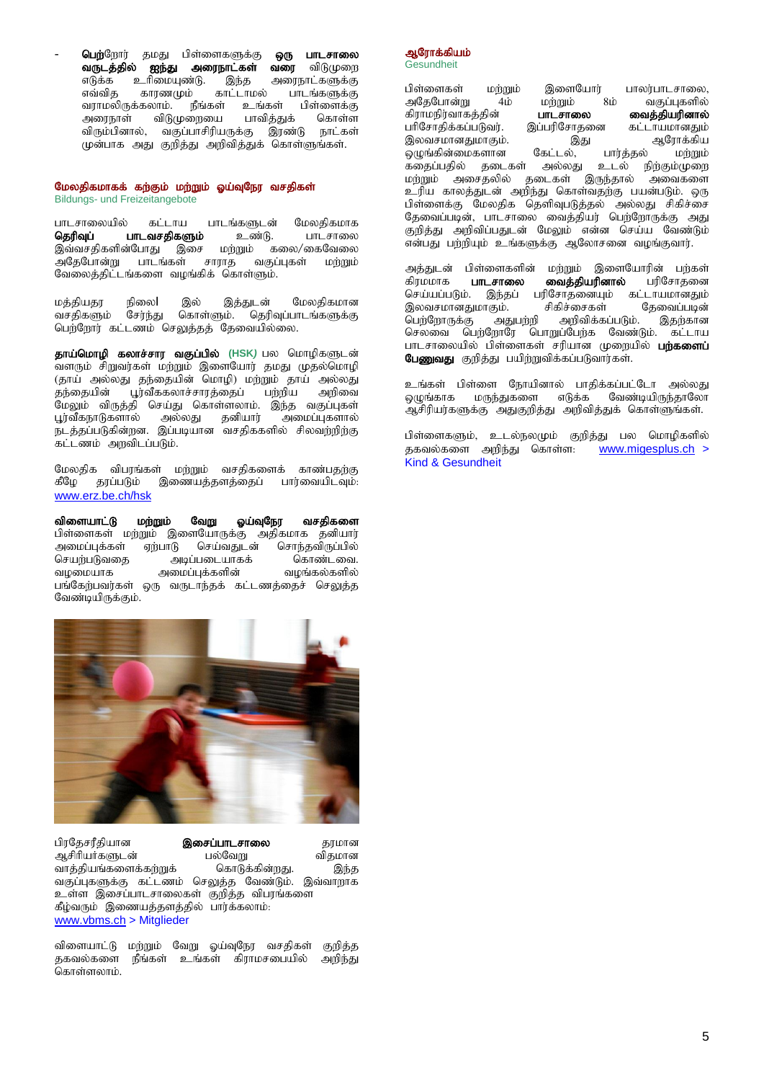**பெற்**றோர் தமது பிள்ளைகளுக்கு **ஒரு பாடசாலை**<br>**வருடத்தில் ஐந்து அரைநாட்கள் வரை** விடுமுறை **வருடத்தில் ஐந்து அரைநாட்கள் வரை**<br>எடுக்க உரிமையண்டு. இந்த அரை எடுக்க உரிமையுண்டு. இந்த அரைநாட்களுக்கு<br>எவ்வித காரணமும் காட்டாமல் பாடங்களுக்கு எவ்வித காரணமும் காட்டாமல் பாடங்களுக்கு<br>வராமலிருக்கலாம். நீங்கள் உங்கள் பிள்ளைக்கு வராமலிருக்கலாம். நீங்கள் உங்கள் பிள்ளைக்கு<br>அரைநாள் விடுமுறையை பாவித்துக் கொள்ள விடுமுறையை பாவித்துக் கொள்ள<br>்வகப்பாசிரியாக்க இாண்டு நாட்கள் விரும்பினால், வகுப்பாசிரியருக்கு இரண்டு முன்பாக அது குறித்து அறிவித்துக் கொள்ளுங்கள்.

### <span id="page-5-0"></span>மேலதிகமாகக் கற்கும் மற்றும் ஓய்வுநேர வசதிகள் Bildungs- und Freizeitangebote

பாடசாலையில் கட்டாய பாடங்களுடன் மேலதிகமாக<br>**தெரிவப் பாடவசகிகளும்** உண்டு. பாடசாலை njupTg ; ghltrjpfSk; cz ;L. ghlrhiy )ச மற்றும் கலை/கைவேலை<br>சாராத வகுப்புகள் மற்றும் அதேபோன்று பாடங்கள் வேலைத்திட்டங்களை வழங்கிக் கொள்ளும்.

மத்தியதர நிலை| இல் இத்துடன் மேலதிகமான<br>வசதிகளும் சேர்ந்து கொள்ளும். தெரிவுப்பாடங்களுக்கு ்<br>சேர்ந்து கொள்ளும். பெற்றோர் கட்டணம் செலுத்தத் தேவையில்லை.

தாய்மொழி கலாச்சார வகுப்பில் (HSK*)* பல மொழிகளுடன் வளரும் சிறுவர்கள் மற்றும் இளையோர் தமது முதல்மொழி (தாய் அல்லது தந்தையின் மொழி) மற்றும் தாய் அல்லது<br>தந்தையின் பூர்வீககலாச்சாரத்தைப் பற்றிய அறிவை பூர்வீககலாச்சாரத்தைப் ்மேலும் விருத்தி செய்து கொள்ளலாம். இந்த வகுப்புகள்<br>பூர்வீகநாடுகளால் அல்லது தனியார் அமைப்புகளால் பூர்வீகநாடுகளால் அல்லது தனியார் அமைப்புகளால் நடத்தப்படுகின்றன. இப்படியான வசதிககளில் சிலவற்றிற்கு கட்டணம் அறவிடப்படும்.

மேலதிக விபரங்கள் மற்றும் வசதிகளைக் காண்பதற்கு<br>கீழே தரப்படும் இணையத்தளத்தைப் பார்வையிடவும்: இணையத்தளத்தைப் பார்வையிடவும். [www.erz.be.ch/hsk](http://www.erz.be.ch/hsk)

விளையாட்டு மற்றும் வேறு ஓய்வுநேர வசதிகளை பிள்ளைகள் மற்றும் இளையோருக்கு அதிகமாக தனியார்<br>அமைப்புக்கள் ஏற்பாடு செய்வதுடன் சொந்தவிருப்பில் அமைப்புக்கள் ஏற்பாடு செய்வதுடன் சொந்தவிருப்பில்<br>செயர்படுவகை அடிப்படையாகக் கொண்டவை. செயற்படுவதை அடிப்படையாகக் கொண்டவை.<br>வமமையாக அமைப்பக்களின் வமங்கல்களில் அமைப்புக்களின் பங்கேற்பவர்கள் ஒரு வருடாந்தக் கட்டணத்தைச் செலுத்த வேண்டியிருக்கும்.



பிரதேசரீதியான **இசைப்பாடசாலை** தரமான<br>ஆசிரியர்களுடன் பல்வேறு விதமான MrphpaHfSld; gy;NtW tpjkhd வாத்தியங்களைக்கற்றுக் வகுப்புகளுக்கு கட்டணம் செலுத்த வேண்டும். இவ்வாறாக உள்ள இசைப்பாடசாலைகள் குறித்த விபரங்களை  $\mathbb{E}$ ழ்வரும் இணையத்தளத்தில் பார்க்கலாம்: [www.vbms.ch](http://www.vbms.ch/mitglieder.html) > Mitglieder

விளையாட்டு மற்றும் வேறு ஓய்வுநேர வசதிகள் குறித்த<br>தகவல்களை நீங்கள் உங்கள் கிராமசபையில் அறிந்து நீங்கள் உங்கள் கிராமசபையில் கொள்ளலாம்

# <span id="page-5-1"></span>ஆரோக்கியம்

**Gesundheit** 

பிள்ளைகள் மற்றும் இளையோர் பாலர்பாடசாலை,<br>அகேபோன்று 4ம் மற்றும் 8ம் வகுப்புகளில் மற்றும் 8ம் வகுப்புகளில்<br>**பாடசாலை வைத்தியரினால்** கிராமநிர்வாகத்தின் **பாடசாலை வைத்தியரினால்**<br>பரிசோதிக்கப்படுவர். இப்பரிசோதனை கட்டாயமானதும் ghpNrhjpf;fg ;gLtu;. ,g ;gupNrhjid fl;lhakhdJk; ,ytrkhdJkhFk;. ,J MNuhf;fpa ஒழுங்கின்மைகளான கேட்டல்,<br>ககைப்பகில் கடைகள் அல்லகு உடல் நிற்கும்முறை மற்றும் அசைதலில் தடைகள் இருந்தால் அவைகளை .<br>உரிய காலத்துடன் அறிந்து கொள்வதற்கு பயன்படும். ஒரு பிள்ளைக்கு மேலதிக தெளிவுபடுத்தல் அல்லது சிகிச்சை தேவைப்படின், பாடசாலை வைத்தியர் பெற்றோருக்கு அது குறித்து அறிவிப்பதுடன் மேலும் என்ன செய்ய வேண்டும் ு ,<br>என்பது பற்றியும் உங்களுக்கு ஆலோசனை வழங்குவார்.

அத்துடன் பிள்ளைகளின் மற்றும் இளையோரின் பற்கள்<br>கிாமமாக **பாடசாலை வைக்கியரினால்** பரிசோகனை கிரமமாக **பாடசாலை வைத்தியரினால்**<br>செய்யப்படும். இந்தப் பரிசோதனையும் .<br>இந்தப் பரிசோதனையும் கட்டாயமானதும்<br>ாகும். சிகிச்சைகள் கேவைப்படின் இலவசமானதுமாகும். சிகிச்சைகள் தேவைப்படின்<br>பெற்றோருக்கு அதுபற்றி அறிவிக்கப்படும். இதற்கான அறிவிக்கப்படும். <sup>-</sup> இதற்கான<br>iப்பேற்க வேண்டும். கட்டாய செலவை பெற்றோரே பொறுப்பேற்க வேண்டும். பாடசாலையில் பிள்ளைகள் சரியான முறையில் **பற்களைப் பேணுவது** குறித்து பயிற்றுவிக்கப்படுவார்கள்.

உங்கள் பிள்ளை நோயினால் பாதிக்கப்பட்டோ அல்லது<br>ஒழுங்காக மருந்துகளை எடுக்க வேண்டியிருந்தாலோ வேண்டியிருந்தாலோ .<br>ஆசிரியர்களுக்கு அதுகுறித்து அறிவித்துக் கொள்ளுங்கள்.

பிள்ளைகளும், உடல்நலமும் குறித்து பல மொழிகளில்<br>தகவல்களை அறிந்து கொள்ள: www.migesplus.ch > தகவல்களை அறிந்து கொள்ள: Kind & Gesundheit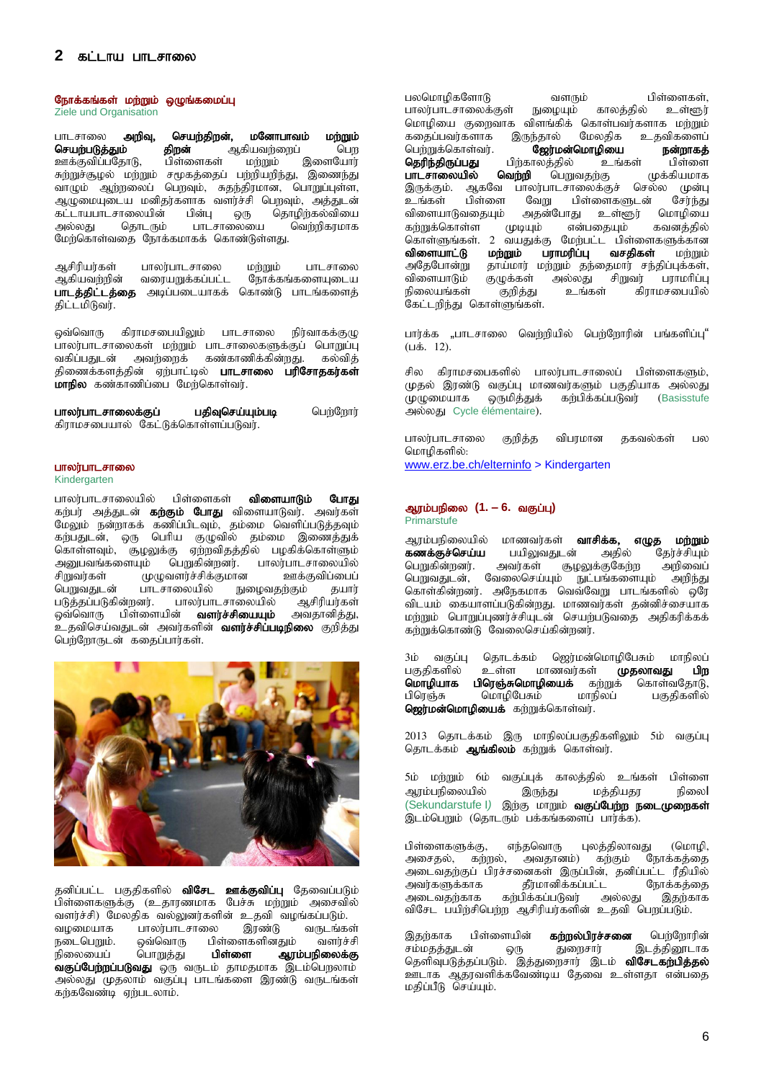### <span id="page-6-1"></span><span id="page-6-0"></span>நோக்கங்கள் மற்றும் ஒழுங்கமைப்பு Ziele und Organisation

பாடசாலை **அறிவு, செயற்திறன், மனோபாவம் மற்றும்**<br>**செயற்படுத்தும் திறன்** ஆகியவற்றைப் பெற **திறன்** ஆகியவற்றைப் - **ப**ற<br>பிள்ளைகள் மற்றும் இளையோர் ஊக்குவிப்பதோடு, சுற்றுச்சூழல் மற்றும் சமூகத்தைப் பற்றியறிந்து, இணைந்து வாழும் ஆற்றலைப் பெறவும், சுதந்திரமான, பொறுப்புள்ள, ஆழுமையுடைய மனிதர்களாக வளர்ச்சி பெறவும், அத்துடன் ்கட்டாயபாடசாலையின் பின்பு ஒரு தொழிற்கல்வியை<br>அல்லது தொடரும் பாடசாலையை வெற்றிகரமாக பாடசாலையை மேற்கொள்வதை நோக்கமாகக் கொண்டுள்ளது.

ஆசிரியர்கள் பாலர்பாடசாலை மற்றும் பாடசாலை<br>ஆகியவர்றின் வரையறுக்கப்பட்ட நோக்கங்களையுடைய ரோக்கங்களையுடைய பாடத்திட்டத்தை அடிப்படையாகக் கொண்டு பாடங்களைத் கிட்டமிடுவர்.

லு்வொரு கிராமசபையிலும் பாடசாலை நிர்வாகக்குமு பாலர்பாடசாலைகள் மற்றும் பாடசாலைகளுக்குப் பொறுப்பு வகிப்பதுடன் அவற்றைக் கண்காணிக்கின்றது. கல்வித் திணைக்களத்தின் ஏற்பாட்டில் **பாடசாலை பரிசோதகர்கள்**  $\overline{\text{m}}$ நில கண்காணிப்பை மேற்கொள்வர்.

பாலர்பாடசாலைக்குப் பதிவுசெய்யும்படி பெற்றோர் கிராமசபையால் கேட்டுக்கொள்ளப்படுவர்.

#### <span id="page-6-2"></span>பாலர்பாடசாலை Kindergarten

பாலர்பாடசாலையில் பிள்ளைகள் **விளையாடும் போது** கற்பர் அத்துடன் **கற்கும் போது** விளையாடுவர். அவர்கள் மேலும் நன்றாகக் கணிப்பிடவும், தம்மை வெளிப்படுத்தவும் கற்பதுடன், ஒரு பெரிய குழுவில் தம்மை இணைத்துக் ்காள்ளவும், சூழலுக்கு ஏற்றவிதத்தில் பழகிக்கொள்ளும்<br>அனுபவங்களையும் பெறுகின்றனர். பாலர்பாடசாலையில் அனுபவங்களையும் பெறுகின்றனர். பாலர்பாடசாலையில்<br>சிறுவர்கள் முழுவளர்ச்சிக்குமான ஊக்குவிப்பைப் .<br>சிறுவர்கள் முழுவளர்ச்சிக்குமான<br>பெறுவதுடன் பாடசாலையில் நு பெறுவதுடன் பாடசாலையில் நுழைவதற்கும் தயார்<br>படுத்தப்படுகின்றனர். பாலர்பாடசாலையில் ஆசிரியர்கள் ்பாலர்பாடசாலையில் ஆசிரியர்கள்<br>ன் **வளர்ச்சியையும்** அவகானிக்கு, ஓவ்வொரு பிள்ளையின் **வளர்ச்சியையும்** உதவிசெய்வதுடன் அவர்களின் **வளர்ச்சிப்படிநிலை** குறித்து பெற்றோருடன் கதைப்பார்கள்.



தனிப்பட்ட பகுதிகளில் **விசேட ஊக்குவிப்பு** தேவைப்படும் பிள்ளைகளுக்கு (உதாரணமாக பேச்சு மற்றும் அசைவில் வளர்ச்சி) மேலதிக வல்லுனர்களின் உதவி வழங்கப்படும்.<br>வழமையாக பாலர்பாடசாலை இரண்டு வருடங்க ்வழமையாக பாலர்பாடசாலை இரண்டு வருடங்கள்<br>நடைபெறும். ஒவ்வொரு பிள்ளைகளினதும் வளர்ச்சி நடைபெறும். ஒவ்வொரு பிள்ளைகளினதும்<br>நிலையைப் பொறுத்து **பிள்ளை ஆர ஆரம்பநிலைக்கு** வ**குப்பேற்றப்படுவது** ஒரு வருடம் தாமதமாக இடம்பெறலாம் அல்லது முதலாம் வகுப்பு பாடங்களை இரண்டு வருடங்கள்  $\overline{a}$ ந்கவேண்டி ஏற்படலாம்.

பலமொழிகளோடு வளரும் பிள்ளைகள், பாலர்பாடசாலைக்குள் நுழையும் காலத்தில் உள்ளூர் மொழியை குறைவாக விளங்கிக் கொள்பவர்களாக மற்றும்<br>கதைப்பவர்களாக இருந்தால் மேலதிக உதவிகளைப் கதைப்பவர்களாக இருந்தால் மேலதிக உதவிகளைப்<br>பெற்றுக்கொள்வர். **ஜேர்மன்மொமியை நன்றாகக்** ு **ஜேர்மன்மொழியை நன்றாகத்**<br>பிற்காலத்தில் உங்கள் பிள்ளை **தெரிந்திருப்பது** பிற்காலத்தில் உங்கள் பிள்ளை<br>**பாடசாலையில் வெற்றி** பெறுவதற்கு முக்கியமாக **பாடசாலையில் வெற்றி** பெறுவதற்கு முக்கியமாக<br>இருக்கும். ஆகவே பாலர்பாடசாலைக்குச் செல்ல முன்பு இருக்கும். ஆகவே பாலர்பாடசாலைக்குச் செல்ல முன்பு<br>உங்கள் பிள்ளை வேறு பிள்ளைகளுடன் சேர்ந்து உங்கள் பிள்ளை வேறு பிள்ளைகளுடன் சேர்ந்து<br>விளையாடுவதையும் அதன்போது உள்ளூர் மொழியை விளையாடுவதையும்<br>கற்றுக்கொள்ள முடியும் என்பதையும் கவனத்தில் கொள்ளுங்கள். 2 வயதுக்கு மேற்பட்ட பிள்ளைகளுக்கான<br>**விளையாட்டு மற்றும் பராமரிப்பு வசதிகள்** மற்றும் **விளையாட்டு**<br>அகேபோன்று தாய்மார் மற்றும் தந்தைமார் சந்திப்புக்கள்,<br>குமுக்கள் அல்லது சிறுவர் பராமரிப்பு . விளையாடும் குழுக்கள் அல்லது<br>நிலையங்கள் குறித்து உங்கள் கிாாமசபையில் .<br>கேட்டரிந்து கொள்ளுங்கள்.

பார்க்க "பாடசாலை வெற்றியில் பெற்றோரின் பங்களிப்பு"  $(116. 12).$ 

சில கிராமசபைகளில் பாலர்பாடசாலைப் பிள்ளைகளும், முதல் இரண்டு வகுப்பு மாணவர்களும் பகுதியாக அல்லது<br>முழுமையாக ஒருமித்துக் கற்பிக்கப்படுவர் (Basisstufe கற்பிக்கப்படுவர் my;yJ Cycle élémentaire).

பாலர்பாடசாலை குறித்த விபரமான தகவல்கள் பல மொழிகளில்:

[www.erz.be.ch/elterninfo](http://www.erz.be.ch/erz/de/index/kindergarten_volksschule/kindergarten_volksschule/informationen_fuereltern/kindergarten/elterninformationen.html) > Kindergarten

### <span id="page-6-3"></span>ஆரம்பநிலை (1. – 6. வகுப்பு) **Primarstufe**

ஆரம்பநிலையில் மாணவர்கள் **வாசிக்க, எழுத மற்றும்**<br>**கணக்குச்செய்ய** பயிலுவதுடன் அதில் தேர்ச்சியும் **கணக்குச்செய்ய** பயிலுவதுடன் அதில் தேர்ச்சியும்<br>பெறுகின்றனர். அவர்கள் சூழலுக்குகேற்ற அறிவைப் பெறுகின்றனர். அவர்கள் சூழலுக்குகேற்ற அறிவைப் பெறுவதுடன், வேலைசெய்யும் நுட்பங்களையும் அறிந்து கொள்கின்றனர். அநேகமாக வெவ்வேறு பாடங்களில் ஒரே விடயம் கையாளப்படுகின்றது. மாணவர்கள் தன்னிச்சையாக மர்றும் பொறுப்புணர்ச்சியுடன் செயர்படுவதை அதிகரிக்கக் கர்றுக்கொண்டு வேலைசெய்கின்றனர்.

3ம் வகுப்பு தொடக்கம் ஜெர்மன்மொழிபேசும் மாநிலப்<br>பகுதிகளில் உள்ள மாணவர்கள் **முதலாவது பிற** பகுதிகளில் உள்ள மாணவர்கள் **முதலாவது பிற**<br>**மொமியாக பிளெக்சுமொமியைக்** கள்ளக் கொள்வகோடு. **மொழியாக பிரெஞ்சுமொழியைக்** கற்றுக் கொள்வதோடு,<br>பிரெஞ்சு மொழிபேசும் மாநிலப் பகுதிகளில் மொழிபேசும் $\overline{\phantom{a}}$ ஜெர்மன்மொழியைக் கற்றுக்கொள்வர்.

2013 தொடக்கம் இரு மாநிலப்பகுதிகளிலும் 5ம் வகுப்பு தொடக்கம் **ஆங்கிலம்** கற்றுக் கொள்வர்.

5ம் மற்றும் 6ம் வகுப்புக் காலத்தில் உங்கள் பிள்ளை ஆரம்பநிலையில் இருந்து மத்தியதர நிலை| (Sekundarstufe I) இற்கு மாறும் **வகுப்பேற்ற நடைமுறைகள்** இடம்பெறும் (தொடரும் பக்கங்களைப் பார்க்க).

பிள்ளைகளுக்கு, எந்தவொரு புலத்திலாவது (மொழி,<br>அசைதல், கற்றல், அவதானம்) கற்கும் நோக்கத்தை அசைதல், கற்றல், miltjw ;Fg ; gpur ;ridfs; ,Ug ;gpd;> jdpg ;gl;l uPjpapy ; mtu;fSf;fhf j Pu;khdpf;fg ;gl;l Nehf;fj;ij கர்பிக்கப்படுவர் .<br>விசேட பயிற்சிபெற்ற<sup>-</sup>ஆசிரியர்களின் உதவி பெறப்படும்.

இதற்காக பிள்ளையின் **கற்றல்பிரச்சனை** பெற்றோரின்<br>சம்மதத்துடன் ஒரு துறைசார் இடத்தினூடாக இடக்கிரைடாக தெளிவுபடுத்தப்படும். இத்துறைசார் இடம் **விசேட்கற்பித்தல்** ஊடாக ஆதரவளிக்கவேண்டிய தேவை உள்ளதா என்பதை மகிப்பீடு செய்யம்.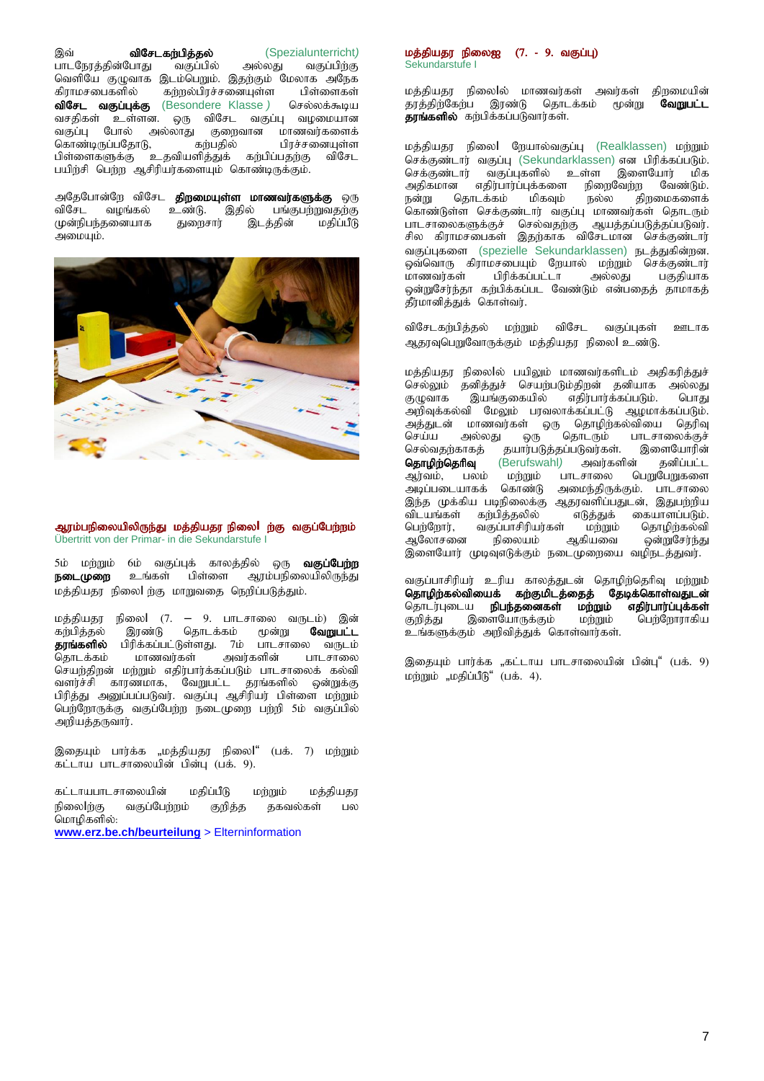,t ; tpNrlfw;gpj ;jy ; (Spezialunterricht*)* பாடநேரத்தின்போது வகுப்பில் அல்லது வகுப்பிற்கு வெளியே குழுவாக இடம்பெறும். இதற்கும் மேலாக அநேக கிராமசபைகளில் கற்றல்பிரச்சனையுள்ள பிள்ளைகள்<br>**விசேட வகப்பக்க** (Besondere Klasse ) செல்லக்கூடிய **விசேட வகுப்புக்கு** (Besondere Klasse ) வசதிகள் உள்ளன. ஒரு விசேட வகுப்பு வழமையான<br>வகுப்பு போல் அல்லாது குறைவான மாணவர்களைக் .<br>நு குறைவான மாணவர்களைக்<br>- கற்பதில் பிரச்சனையுள்ள கொண்டிருப்பதோடு, பிள்ளைகளுக்கு உதவியளித்துக் கற்பிப்பதற்கு விசேட பயிற்சி பெற்ற ஆசிரியர்களையும் கொண்டிருக்கும்.

அதேபோன்றே விசேட **திறமையுள்ள மாணவர்களுக்கு** ஒரு<br>விசேட வழங்கல் உண்டு. இதில் பங்குபற்றுவதற்கு tpNrl toq;fy; cz ;L. ,jpy; gq;Fgw ;Wtjw ;F (ழன்நிபந்தனையாக  $m$ inu IID.



### <span id="page-7-0"></span>ஆரம்பநிலையிலிருந்து மத்தியதர நிலைl ந்கு வகுப்பேற்றம் Übertritt von der Primar- in die Sekundarstufe I

5ம் மற்றும் 6ம் வகுப்புக் காலத்தில் ஒரு **வகுப்பேற்ற**<br>**நடைமுறை** உங்கள் பிள்ளை ஆரம்பநிலையிலிருந்து ஆரம்பநிலையிலிருந்து மத்தியதர நிலை| ந்கு மாறுவதை நெறிப்படுத்தும்.

மத்தியதர நிலை| (7. – 9. பாடசாலை வருடம்) இன்<br>கற்பித்தல் இரண்டு தொடக்கம் மூன்று **வேறுபட்ட** கற்பித்தல் இரண்டு தொடக்கம் மூன்று<br>**தரங்களில்** பிரிக்கப்பட்டுள்ளது. 7ம் பாடசா **தரங்களில்** பிரிக்கப்பட்டுள்ளது. 7ம் பாடசாலை வருடம்<br>தொடக்கம் மாணவர்கள் அவர்களின் பாடசாலை அவர்களின் செயற்திறன் மற்றும் எதிர்பார்க்கப்படும் பாடசாலைக் கல்வி ு :--<br>வளர்ச்சி காரணமாக, வேறுபட்ட தரங்களில் ஒன்றுக்கு பிரித்து அனுப்பப்படுவர். வகுப்பு ஆசிரியர் பிள்ளை மற்றும் பெற்றோருக்கு வகுப்பேற்ற நடைமுறை பற்றி 5ம் வகுப்பில் அறியத்தருவார்.

இதையும் பார்க்க "மத்தியதர நிலைl" (பக். 7) மற்றும் fl;lha ghlrhiyapd; gpd;G (gf;. 9).

கட்டாயபாடசாலையின் மதிப்பீடு மற்றும் மத்தியதர நிலை $\log$  வகுப்பேற்றம் குறித்த தகவல்கள் பல மொழிகளில்: **[www.erz.be.ch/beurteilung](http://www.erz.be.ch/beurteilung)** > Elterninformation

#### <span id="page-7-1"></span>மத்தியதர நிலைஐ (7. - 9. வகுப்பு) Sekundarstufe I

மத்தியதர நிலை|ல் மாணவர்கள் அவர்கள் திறமையின்<br>தரத்திற்கேற்ப இரண்டு தொடக்கம் மூன்று **வேறுபட்ட** தரத்திற்கேற்ப இரண்டு தொடக்கம் தரங்களில் கற்பிக்கப்படுவார்கள்.

மத்தியதர நிலை| நேயால்வகுப்பு (Realklassen) மற்றும் செக்குண்டார் வகுப்பு (Sekundarklassen) என பிரிக்கப்படும். செக்குண்டார் வகுப்புகளில் உள்ள இளையோர் மிக அதிகமான எதிர்பார்ப்புக்களை நிறைவேற்ற வேண்டும்.<br>நன்று தொடக்கம் மிகவும் நல்ல கிறமைகளைக் ed ;W njhlf;fk; kpfTk; ey;y jpwikfisf; .<br>கொண்டுள்ள செக்குண்டார் வகுப்பு மாணவர்கள் தொடரும் பாடசாலைகளுக்குச் செல்வதற்கு ஆயத்தப்படுத்தப்படுவர். சில கிராமசபைகள் இதற்காக விசேடமான செக்குண்டார் வகுப்புகளை (spezielle Sekundarklassen) நடத்துகின்றன. ஒவ்வொரு கிராமசபையும் நேயால் மற்றும் செக்குண்டார்<br>மாணவர்கள் பிரிக்கப்பட்டா அல்லது பகுதியாக பிரிக்கப்பட்டா ஓன்றுசேர்ந்தா கற்பிக்கப்பட வேண்டும் என்பதைத் தாமாகத் தீர்மானித்துக் கொள்வர்.

விசேடகற்பித்தல் மற்றும் விசேட வகுப்புகள் ஊடாக ஆதரவுபெறுவோருக்கும் மத்தியதர நிலை| உண்டு.

மத்தியதர நிலை|ல் பயிலும் மாணவர்களிடம் அதிகரித்துச் செல்லும் தனித்துச் செயற்படும்திறன் தனியாக அல்லது<br>குழுவாக இயங்குகையில் எதிர்பார்க்கப்படும். பொது ்.<br>எதிர்பார்க்கப்படும்.  $\bar{\psi}$ அறிவுக்கல்வி மேலும் பரவலாக்கப்பட்டு ஆழமாக்கப்படும். அத்துடன் மாணவர்கள் ஒரு தொழிந்கல்வியை தெரிவு<br>செய்ய அல்லது ஒரு தொடரும் பாடசாலைக்குச் செய்ய அல்லது ஒரு தொடரும் பாடசாலைக்குச்<br>செல்வகர்காகக் கயார்படுக்கப்படுவர்கள். இளையோரின் nry;tjw ;fhfj ; jahu ;gLj ;jg ;gLtu ;fs;. ,isNahupd; **தொழிற்தெரிவு** (Berufswahl*)* அவர்கள<br>அர்வம், பலம் மற்றும் பாடசாலை ஆர்வம், பலம் மற்றும் பாடசாலை பெறுபேறுகளை<br>அடிப்படையாகக் கொண்டு அமைந்திருக்கும். பாடசாலை அமைந்திருக்கும். பாடசாலை இந்த முக்கிய படிநிலைக்கு ஆதரவளிப்பதுடன், இதுபற்றிய<br>விடயங்கள் கற்பித்தலில் எடுத்துக் கையாளப்படும். .<br>விடயங்கள் கற்பித்தலில் எடுத்துக் கையாளப்படும்.<br>பெற்றோர், வகுப்பாசிரியர்கள் மற்றும் தொழிற்கல்வி பெற்றோர், வகுப்பாசிரியர்கள் மற்றும் தொழிற்கல்வி<br>ஆலோசனை நிலையம் ஆகியவை ஒன்றுசேர்ந்து ஆலோசனை நிலையம் ஆகியவை ஒன்றுசேர்ந்து இளையோர் முடிவுஎடுக்கும் நடைமுறையை வழிநடத்துவர்.

வகுப்பாசிரியர் உரிய காலத்துடன் தொழிற்தெரிவு மற்றும் **தொழிற்கல்வியைக் கற்குமிடத்தைத் தேடிக்கொள்வதுடன்**<br>தொடர்புடைய **நிபந்தனைகள் மற்றும் எதிர்பார்ப்புக்கள்** தொடர்புடைய **நிபந்தனைகள் மற்றும் எதிர்பார்ப்புக்கள்**<br>குறித்து இளையோருக்கும் மற்றும் பெற்றோராகிய இளையோருக்கும் .<br>உங்களுக்கும் அறிவிக்குக் கொள்வார்கள்.

இதையும் பார்க்க "கட்டாய பாடசாலையின் பின்பு" (பக். 9)  $\omega$ ற்றும் "மதிப்பீடு" (பக். 4).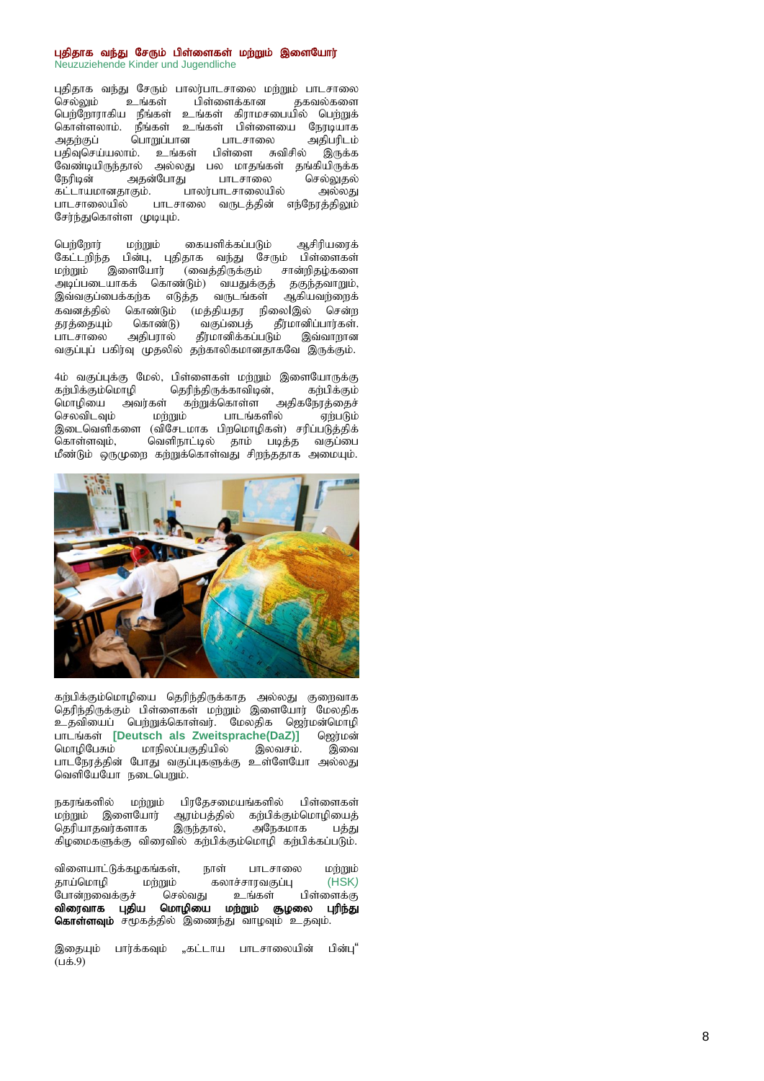#### <span id="page-8-0"></span>புதிதாக வந்து சேரும் பிள்ளைகள் மற்றும் இளையோர் Neuzuziehende Kinder und Jugendliche

Gjpjhf te;J NrUk; ghyu;ghlrhiy kw ;Wk; ghlrhiy பிள்ளைக்கான பெற்றோராகிய நீங்கள் உங்கள் கிராமசபையில் பெற்றுக் கொள்ளலாம். நீங்கள் உங்கள் பிள்ளையை நேரடியாக<br>அதற்குப் பொறுப்பான பாடசாலை அதிபரிடம் அதற்குப் பொறுப்பான பாடசாலை அதிபரிடம் பதிவுசெய்யலாம். உங்கள் பிள்ளை சுவிசில் இருக்க வேண்டியிருந்தால் அல்லது பல மாதங்கள் தங்கியிருக்க நேரிடின் – அதன்போது பாடசாலை – செல்லுதல்<br>கட்டாயமானதாகும். – பாலர்பாடசாலையில் – அல்லது fl;lhakhdjhFk;. ghyu;ghlrhiyapy; my;yJ பாடசாலை வருடத்தின் எந்நேரத்திலும் சேர்ந்துகொள்ள முடியும்.

பெற்றோர் மற்றும் கையளிக்கப்படும் ஆசிரியரைக் கேட்டறிந்த பின்பு, புதிதாக வந்து சேரும் பிள்ளைகள் மற்றும் இளையோர் (வைத்திருக்கும் சான்றிதழ்களை அடிப்படையாகக் கொண்டும்) வயதுக்குத் தகுந்தவாறும், இவ்வகுப்பைக்கற்க எடுத்த வருடங்கள் ஆகியவற்றைக் கவனத்தில் கொண்டும் (மத்தியதர நிலை|இல் சென்ற தரத்தையும் கொண்டு) வகுப்பைத் தீர்மானிப்பார்கள்.<br>பாடசாலை அதிபரால் தீர்மானிக்கப்படும் இவ்வாறான ்பாடசாலை அதிபரால் தீர்மானிக்கப்படும் இவ்வாறான<br>வகுப்புப் பகிரவு முதலில் தற்காலிகமானதாகவே இருக்கும்.

4ம் வகுப்புக்கு மேல், பிள்ளைகள் மற்றும் இளையோருக்கு<br>கங்பிக்கும்மொமி கெரிந்திருக்காவிடன். கங்பிக்கும் தெரிந்திருக்காவிடின், மொழியை அவர்கள் கற்றுக்கொள்ள அதிகநேரத்தைச்<br>செலவிடவும் மற்றும் பாடங்களில் ஏற்படும் பாடங்களில் இடைவெளிகளை (விசேடமாக பிறமொழிகள்) சரிப்படுத்திக்<br>கொள்ளவும், வெளிநாட்டில் தாம் படித்த வகுப்பை வெளிநாட்டில் தாம் படித்த வகுப்பை மீண்டும் ஒருமுறை கற்றுக்கொள்வது சிறந்ததாக அமையும்.



கற்பிக்கும்மொழியை தெரிந்திருக்காத அல்லது குறைவாக தெரிந்திருக்கும் பிள்ளைகள் மற்றும் இளையோர் மேலதிக உதவியைப் பெற்றுக்கொள்வர். மேலதிக ஜெர்மன்மொழி<br>பாடங்கள் [Deutsch als Zweitsprache(DaZ)] ஜெர்மன் பாடங்கள் [Deutsch als Zweitsprache(DaZ)] ஜெர்மன்<br>மொழிபேசும் மாநிலப்பகுதியில் இலவசம். இவை மாநிலப்பகுதியில் பாடநேரத்தின் போது வகுப்புகளுக்கு உள்ளேயோ அல்லது வெளியேயோ நடைபெறும்.

நகரங்களில் மற்றும் பிரதேசமையங்களில் பிள்ளைகள் ்மற்றும் இளையோர் ஆரம்பத்தில் கற்பிக்கும்மொழியைத்<br>தெரியாதவர்களாக இருந்தால், அநேகமாக பத்து கெரியாகவர்களாக இருந்தால். அநேகமாக பக்கு கிழமைகளுக்கு விரைவில் கற்பிக்கும்மொழி கற்பிக்கப்படும்.

விளையாட்டுக்கழகங்கள், நாள் பாடசாலை மற்றும் தாய்மொழி மற்றும் கலாச்சாரவகுப்பு (HSK*)*<br>போன்**றவைக்குச் செல்வது உங்கள் பிள்ளைக்கு** .<br>போன்றவைக்குச் விரைவாக புதிய மொழியை மற்றும் சூழலை புரிந்து கொள்ளவும் சமூகத்தில் இணைந்து வாழவும் உதவும்.

இதையும் பார்க்கவும் "கட்டாய பாடசாலையின் பின்பு"  $(i44.9)$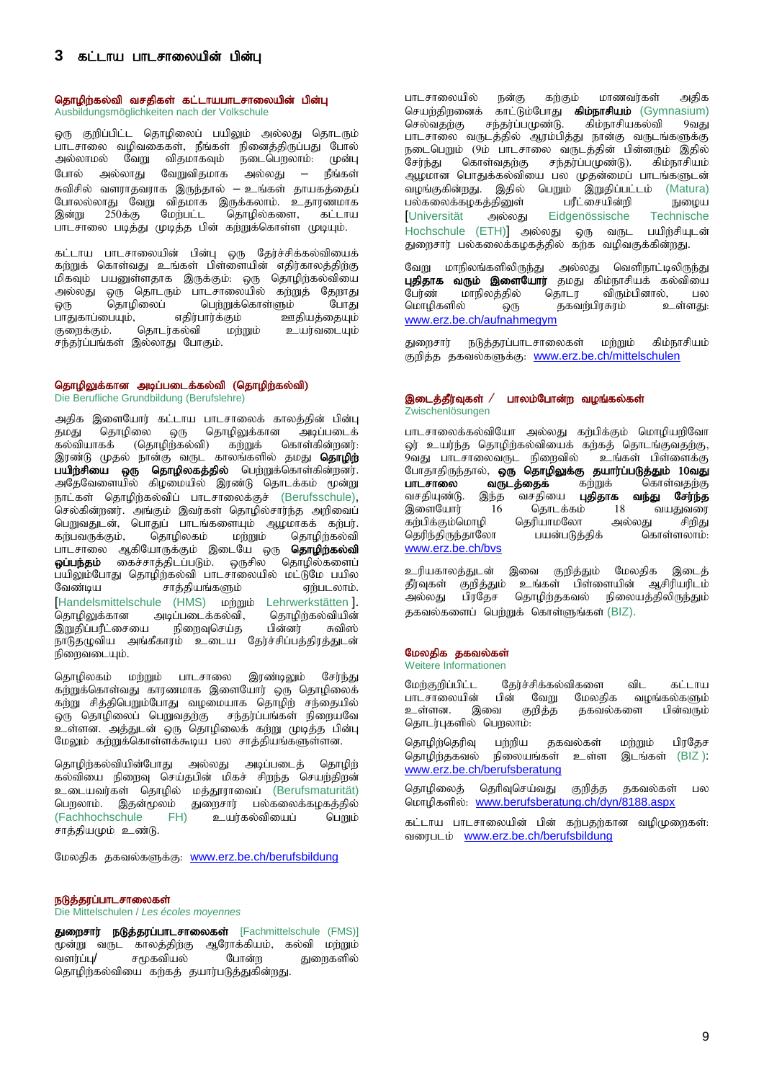#### <span id="page-9-1"></span><span id="page-9-0"></span>தொழிற்கல்வி வசதிகள் கட்டாயபாடசாலையின் பின்பு Ausbildungsmöglichkeiten nach der Volkschule

ஒரு குறிப்பிட்ட தொழிலைப் பயிலும் அல்லது தொடரும் ு படும் .<br>பாடசாலை வழிவகைகள், நீங்கள் நினைத்திருப்பது போல் அல்லாமல் வேறு விதமாகவும் நடைபெறலாம். முன்பு போல் அல்லாது வேறுவிதமாக அல்லது – நீங்கள் சுவிசில் வளராதவராக இருந்தால் — உங்கள் தாயகத்தைப் போலல்லாது வேறு விதமாக இருக்கலாம். உதாரணமாக இன்று 250க்கு மேற்பட்ட தொழில்களை, கட்டாய பாடசாலை படித்து முடித்த பின் கற்றுக்கொள்ள முடியும்.

கட்டாய பாடசாலையின் பின்பு ஒரு தேர்ச்சிக்கல்வியைக் கற்றுக் கொள்வது உங்கள் பிள்ளையின் எதிர்காலத்திற்கு மிகவும் பயனுள்ளதாக இருக்கும். ஒரு தொழிற்கல்வியை அல்லது ஒரு தொடரும் பாடசாலையில் கற்றுத் தேறாது<br>ஒரு கொமிலைப் பெற்றுக்கொள்ளும் போது ஒரு தொழிலைப் பெற்றுக்கொள்ளும் போது<br>பாதுகாப்பையும், எதிர்பார்க்கும் ஊதியத்தையும் ghJfhg ;igAk;> vjpu ;ghu;f;Fk; Cjpaj ;ijAk ; உயர்வடையும்  $\overline{f}$ ந்தர்ப்பங்கள் இல்லாது போகும்.

### <span id="page-9-2"></span>தொழிலுக்கான அடிப்படைக்கல்வி (தொழிற்கல்வி) Die Berufliche Grundbildung (Berufslehre)

அதிக இளையோர் கட்டாய பாடசாலைக் காலத்தின் பின்பு<br>கமது தொமிலை ஒரு தொமிலுக்கான அடிப்படைக் தமது தொழிலை ஒரு தொழிலுக்கான அடிப்படைக்<br>கல்வியாகக் (கொமிர்கல்வி) கா்ளக் கொள்கின்றனர்: ் (தொழிற்கல்வி) நெற்றுக் கொள்கின்றனர்: இரண்டு முதல் நான்கு வருட காலங்களில் தமது **தொழிற்** ப்பிற்சியை ஒரு தொழிலகத்தில் பெற்றுக்கொள்கின்றனர். அதேவேளையில் கிழமையில் இரண்டு தொடக்கம் மூன்று நாட்கள் தொழிற்கல்விப் பாடசாலைக்குச் (Berufsschule), .<br>செல்கின்றனர். அங்கும் இவர்கள் தொழில்சார்ந்த அறிவைப் பெறுவதுடன், பொதுப் பாடங்களையும் ஆழமாகக் கற்பர்.<br>கற்பவருக்கும், தொழிலகம் மற்றும் தொழிற்கல்வி கற்பவருக்கும், தொழிலகம் மற்றும் தொழிற்கல்வி பாடசாலை ஆகியோருக்கும் இடையே ஒரு **தொழிற்கல்வி ஒப்பந்தம்** கைச்சாத்திடப்படும். ஒருசில தொழில்களைப் பயிலும்போது தொழிற்கல்வி பாடசாலையில் மட்டுமே பயில வேண்டிய சாத்தியங்களும் ஏற்படலாம். [Handelsmittelschule (HMS) மற்றும் Lehrwerkstätten ].<br>சொமிலுக்கான அடிப்படைக்கல்வி. கொமிர்கல்வியின் அடிப்படைக்கல்வி, தொழிற்கல்வியின்<br>ய நிறைவுசெய்த பின்னர் சுவிஸ் இறுதிப்பரீட்சையை ehLjOtpa mq;fPfhuk; cila Nju;r;rpg ;gj ;jpuj ;Jld ; நிறைவடையும்.

தொழிலகம் மற்றும் பாடசாலை இரண்டிலும் சேர்ந்து  $\frac{1}{2}$ க்றுக்கொள்வது காரணமாக இளையோர் ஒரு தொழிலைக் கற்று சித்திபெறும்போது வழமையாக தொழிற் சந்தையில் .<br>ஒரு தொழிலைப் பெறுவதற்கு சந்தர்ப்பங்கள் நிறையவே  $\tilde{\mathcal{P}}$ ா்ளன. அத்துடன் ஒரு தொழிலைக் கற்று முடித்த பின்பு மேலும் கற்றுக்கொள்ளக்கூடிய பல சாத்தியங்களுள்ளன.

தொழிற்கல்வியின்போது அல்லது அடிப்படைத் தொழிற் கல்வியை நிறைவு செய்தபின் மிகச் சிறந்த செயற்திறன் உடையவர்கள் தொழில் மத்தூராவைப் (Berufsmaturität)<br>பெறலாம். இதன்மூலம் துறைசார் பல்கலைக்கழகத்தில் -<br>மம் துறைசார் பல்கலைக்கழகத்தில்<br>. FH) உயர்கல்வியைப் பெறும்  $(Fachhochschule$   $FH)$  உயர்கல்வியைப் பெறும் சாத்தியமும் உண்டு.

மேலதிக தகவல்களுக்கு: [www.erz.be.ch/berufsbildung](http://www.erz.be.ch/erz/de/index/berufsbildung/grundbildung.html)

## நடுத்தரப்பாடசாலைகள்

Die Mittelschulen / *Les écoles moyennes*

துறைசார் நடுத்தரப்பாடசாலைகள் [Fachmittelschule (FMS)] மூன்று வருட காலத்திற்கு ஆரோக்கியம், கல்வி மற்றும் வளர்ப்பு/ சமூகவியல் போன்ற துறைகளில் தொழிற்கல்வியை கற்கத் தயார்படுத்துகின்றது.

பாடசாலையில் நன்கு கற்கும் மாணவர்கள் அதிக செயற்திறனைக் காட்டும்போது **கிம்நாசியம்** (Gymnasium)<br>செல்வதற்கு சந்தர்ப்பமுண்டு. கிம்நாசியகல்வி 9வது சந்தர்ப்பமுண்டு. பாடசாலை வருடத்தில் ஆரம்பித்து நான்கு வருடங்களுக்கு .<br>நடைபெறும் (9ம் பாடசாலை வருடத்தின் பின்னரும் இதில்<br>சேர்ந்து கொள்வதற்கு சந்தர்ப்பமுண்டு). கிம்நாசியம் சந்தர்ப்பமுண்டு). ஆழ்மான பொதுக்கல்வியை பல முதன்மைப் பாடங்களுடன் வழங்குகின்றது. இதில் பெறும் இறுதிப்பட்டம் (Matura)<br>பல்கலைக்கழகத்தினுள் பரீட்சையின்றி நுழைய பல்கலைக்கழகத்தினுள் பரீட்சையின்றி நுழைய<br>[Universität அல்லது Eidgenössische Technische [Universität my;yJ Eidgenössische Technische .<br>Hochschule (ETH)] அல்லது ஒரு வருட பயிற்சியடன் துறைசார் பல்கலைக்கழகத்தில் கற்க வழிவகுக்கின்றது.

வேறு மாநிலங்களிலிருந்து அல்லது வெளிநாட்டிலிருந்து **புதிதாக வரும் இளையோர்** தமது கிம்நாசியக் கல்வியை பேர்ண் மாநிலத்தில் தொடர விரும்பினால், பல<br>மொழிகளில் ஒரு தகவற்பிரசுரம் உள்ளது: ்குகவற்பிரசுரம் [www.erz.be.ch/aufnahmegym](http://www.erz.be.ch/aufnahmegym)

துறைசார் நடுத்தரப்பாடசாலைகள் மற்றும் கிம்நாசியம் குறித்த தகவல்களுக்கு: [www.erz.be.ch/mittelschulen](http://www.erz.be.ch/mittelschulen)

### <span id="page-9-3"></span>இடைத்தீர்வுகள் / பாலம்போன்ற வழங்கல்கள் Zwischenlösungen

பாடசாலைக்கல்வியோ அல்லது கற்பிக்கும் மொழியறிவோ ஒர் உயர்ந்த தொழிற்கல்வியைக் கற்கத் தொடங்குவதற்கு,<br>9வகு பாடசாலைவருட நிறைவில் - உங்கள் பிள்ளைக்கு ு;<br>9வது பாடசாலைவருட நிறைவில் போதாதிருந்தால், **ஒரு தொழிலுக்கு தயார்ப்படுத்தும் 10வது**<br>**பாடசாலை வருடக்கைக்** கற்றுக் கொள்வகற்கு **பாடசாலை வருடத்தைக் க**ற்றுக் கொள்வதற்கு<br>வசதியுண்டு இந்த வசதியை **புதிதாக வந்து சேர்ந்த** வசதியுண்டு. இந்த வசதியை **புதிதாக**<br>இளையோர் 16 வதாடக்கம் 18 ,16 தொடக்கம் 18 வயதுவரை<br>தெரியாமலோ அல்லது சிறிது கற்பிக்கும்மொழி தெரியாமலோ அல்லது சிறிது<br>கெரிந்கிருந்காலோ பயன்படுக்கிக் கொள்ளலாம்: தெரிந்திருந்தாலோ [www.erz.be.ch/bvs](http://www.erz.be.ch/bvs)

உரியகாலத்துடன் இவை குறித்தும் மேலதிக இடைத் தீர்வுகள் குறித்தும் உங்கள் பிள்ளையின் ஆசிரியரிடம் அல்லது பிரதேச தொழிற்தகவல் நிலையத்திலிருந்தும் ககவல்களைப் பெற்றுக் கொள்ளுங்கள்  $(B|Z)$ .

### <span id="page-9-4"></span>மேலகிக ககவல்கள்

Weitere Informationen

மேற்குறிப்பிட்ட தேர்ச்சிக்கல்விகளை விட கட்டாய<br>பாடசாலையின் பின் வேறு மேலதிக வழங்கல்களும் மேலதிக வழங்கல்களும்<br>'ககவல்களை பின்வரும் உள்ளன. இவை குறித்த தொடர்புகளில் பெறலாம்:

தொழிற்தெரிவு பற்றிய தகவல்கள் மற்றும் பிரதேச தொழிற்தகவல் நிலையங்கள் உள்ள இடங்கள் (BIZ ): [www.erz.be.ch/berufsberatung](http://www.erz.be.ch/berufsberatung)

தொழிலைத் தெரிவுசெய்வது குறித்த தகவல்கள் பல மொழிகளில்: [www.berufsberatung.ch/dyn/8188.aspx](http://www.berufsberatung.ch/dyn/8188.aspx)

கட்டாய பாடசாலையின் பின் கற்பதற்கான வழிமுறைகள்: வரைபடம் [www.erz.be.ch/berufsbildung](http://www.erz.be.ch/erz/de/index/berufsbildung.assetref/content/dam/documents/ERZ/MBA/de/berufsberatung/Broschueren_Bildungsgrafik/Bildungsgrafik-d.pdf)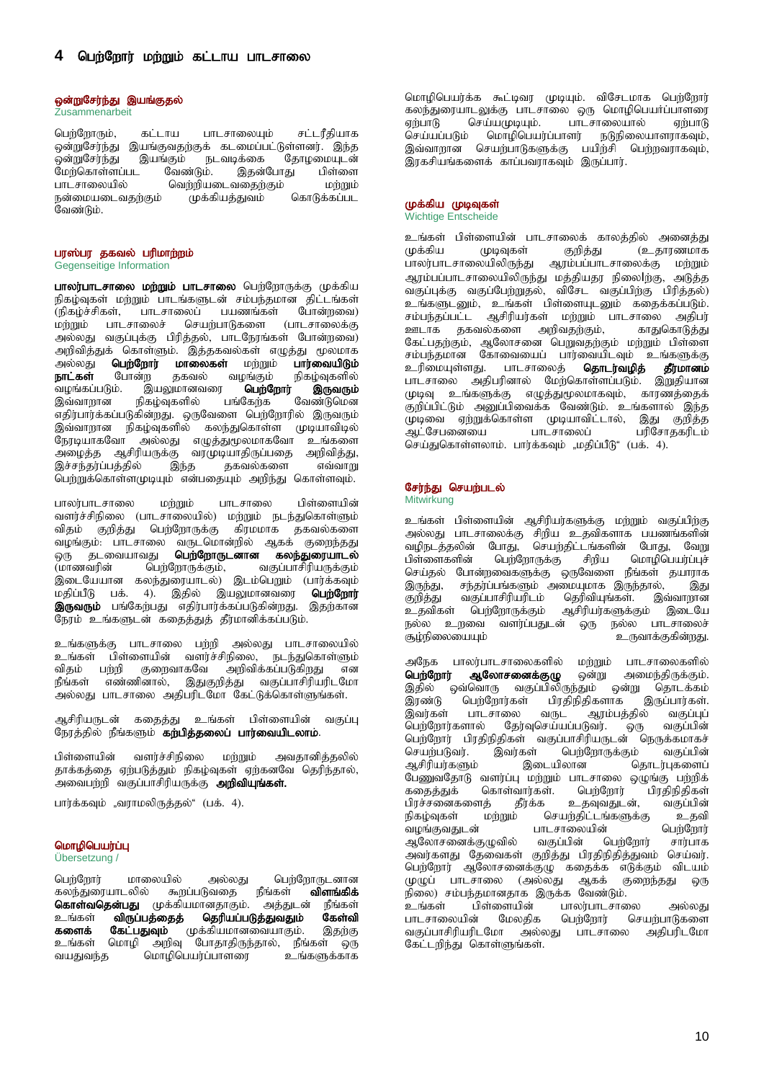# <span id="page-10-1"></span><span id="page-10-0"></span>ஒன்றுசேர்ந்து இயங்குதல்

Zusammenarbeit

பெற்றோரும், கட்டாய பாடசாலையும் சட்டரீதியாக ஒன்றுசேர்ந்து இயங்குவதற்குக் கடமைப்பட்டுள்ளனர். இந்த<br>ஒன்றுசேர்ந்து இயங்கும் நடவடிக்கை தோழமையுடன் ஒன்றுசேர்ந்து இயங்கும் நடவடிக்கை தோழமையுடன் மேற்கொள்ளப்பட வேண்டும். இதன்போது பிள்ளை ்பாட்சாலையில் வெற்றியடைவதைந்கும் - மற்றும்<br>நன்மையடைவதற்கும் முக்கியத்துவம் கொடுக்கப்பட நன்மையடைவதற்கும் .<br>வேண்டும்,

# <span id="page-10-2"></span>பரஸ்பர தகவல் பரிமாற்றம்

Gegenseitige Information

பாலர்பாடசாலை மற்றும் பாடசாலை பெற்றோருக்கு முக்கிய epfo ;Tfs; kw ;Wk; ghlq;fSld ; rk ;ge;jkhd jpl;lq;fs; ் (நிகழ்ச்சிகள், பாடசாலைப் பயணங்கள் போன்றவை)<br>மற்றும் பாடசாலைச் செயற்பாடுகளை (பாடசாலைக்கு செயர்பாடுகளை அல்லது வகுப்புக்கு பிரித்தல், பாடநேரங்கள் போன்றவை) அறிவித்துக் கொள்ளும். இத்தகவல்கள் எழுத்து மூலமாக<br>அல்லது **பெற்றோர் மாலைகள்** மற்றும் **பார்வையிடும்** அல்லது **பெற்றோர் மாலைகள்** மற்றும்<br>**நாட்கள்** போன்ற தகவல் வழங்கும் **நாட்கள்** போன்ற தகவல் வழங்கும் நிகழ்வுகளில்<br>வழங்கப்படும். இயலுமானவரை **பெற்றோர் இருவரும்** .<br>வழங்கப்படும். இயலுமானவரை **பெற்ே**<br>இவ்வாறான நிகழ்வுகளில் பங்கேற்க வேண்டுமென $\overline{\phantom{a}}$ எதிர்பார்க்கப்படுகின்றது. ஒருவேளை பெற்றோரில் இருவரும் .<br>இவ்வாறான நிகழ்வுகளில் கலந்துகொள்ள முடியாவிடில்<br>நோடியாகவோ அல்லகு எழுக்குமலமாகவோ உங்களை நேரடியாகவோ அல்லது எழுத்துமுலமாகவோ உங்களை<br>அழைத்த ஆசிரியருக்கு வரமுடியாதிருப்பதை அறிவித்து, அழைத்த ஆசிரியருக்கு வரமுடியாதிருப்பதை அறிவித்து,<br>இச்சந்தர்ப்பத்தில் இந்த தகவல்களை எவ்வாறு இச்சந்தர்ப்பத்தில் இந்த தகவல்களை எவ்வாறு பெற்றுக்கொள்ளமுடியும் என்பதையும் அறிந்து கொள்ளவும்.

பாலர்பாடசாலை மற்றும் பாடசாலை பிள்ளையின் வளர்ச்சிநிலை (பாடசாலையில்) மற்றும் நடந்துகொள்ளும் விதம் குறித்து பெற்றோருக்கு கிரமமாக தகவல்களை வழங்கும்: பாடசாலை வருடமொன்றில் ஆகக் குறைந்தது<br>ஒரு தடவையாவது **பெற்றோருடனான கலந்துரையாடல்** ஒரு தடவையாவது **பெற்றோருடனான**<br>(மாணவரின் பெற்றோருக்கும், வ வகுப்பாசிரியருக்கும் இடையேயான கலந்துரையாடல்) இடம்பெறும் (பார்க்கவும்<br>மதிப்பீடு பக். 4). இதில் இயலுமானவரை **பெற்றோர்** ் 4). இதில் இயலுமானவரை இருவரும் பங்கேற்பது எதிர்பார்க்கப்படுகின்றது. இதற்கான நேரம் உங்களுடன் கதைத்துத் தீர்மானிக்கப்படும்.

உங்களுக்கு பாடசாலை பற்றி அல்லது பாடசாலையில் உங்கள் பிள்ளையின் வளர்ச்சிநிலை, நடந்துகொள்ளும் விதம் பற்றி குறைவாகவே அறிவிக்கப்படுகிறது என நீங்கள் எண்ணினால், இதுகுறித்து வகுப்பாசிரியரிடமோ ுல்லது பாடசாலை அதிபரிடமோ கேட்டுக்கொள்ளுங்கள்.

ஆசிரியருடன் கதைத்து உங்கள் பிள்ளையின் வகுப்பு நேரத்தில் நீங்களும் **கற்பித்தலைப் பார்வையிடலாம்**.

பிள்ளையின் வளர்ச்சிநிலை மற்றும் அவகானிக்கலில் தாக்கத்தை ஏற்படுத்தும் நிகழ்வுகள் ஏற்கனவே தெரிந்தால், .<br>அவைபற்றி வகுப்பாசிரியருக்கு **அறிவியங்கள்.** 

பார்க்கவும் "வராமலிருத்தல்" (பக். 4).

# <span id="page-10-3"></span>மொழிபெயர்ப்பு

Übersetzung /

பெற்றோர் மாலையில் அல்லது பெற்றோருடனான<br>கலந்துரையாடலில் கூறப்படுவதை நீங்கள் **விளங்கிக்** கலந்துரையாடலில் கூறப்படுவதை நீங்கள் **விளங்கிக்**<br>**கொள்வதென்பது** முக்கியமானதாகும். அத்துடன் நீங்கள் **கொள்வதென்பது** முக்கியமானதாகும். அத்துடன் நீங்கள்<br>உங்கள் **விருப்பத்தைத் தெரியப்படுத்துவதும் கேள்வி** உங்கள் **விருப்பத்தைத் தெரியப்படுத்துவதும் கேள்வி**<br>**களைக் கேட்பதுவும்** முக்கியமானவையாகும். இதற்கு **களைக் கேட்பதுவும்** முக்கியமானவையாகும்.<br>உங்கள் மொழி அறிவு போதாதிருந்தால், நீா் ு அறிவு போதாதிருந்தால், நீங்கள் ஒரு<br>மாமிபெயர்ப்பாளரை உங்களுக்காக வயதுவந்த மொழிபெயர்ப்பாளரை

மொழிபெயர்க்க கூட்டிவர முடியும். விசேடமாக பெற்றோர் fye;JiuahlYf;F ghlrhiy xU nkhopngaHg ;ghsiu ஏற்பாடு செய்யமுடியும். பாடசாலையால்<br>செய்யப்படும் மொமிபெயர்ப்பாளர் நடுநிலை நடுநிலையாளராகவும், இவ்வாறான செயற்பாடுகளுக்கு பயிற்சி பெற்றவராகவும், இரகசியங்களைக் காப்பவராகவும் இருப்பார்.

# <span id="page-10-4"></span>முக்கிய முடிவுகள்

Wichtige Entscheide

cq ;fs; gps;isapd; ghlrhiyf ; fhyj;jpy; midj ;J முக்கிய முடிவுகள் குறித்து (உதாரணமாக<br>பாலர்பாடசாலையிலிருந்து ஆரம்பப்பாடசாலைக்கு மற்றும் அரம்பப்பாடசாலைக்கு மற்றும் ஆரம்பப்பாடசாலையிலிருந்து மத்தியதர நிலை $\ln$ ந்த, அடுத்த வகுப்புக்கு வகுப்பேற்றுதல், விசேட வகுப்பிற்கு பிரித்தல்) cq ;fSlDk;> cq ;fs; gps;isAlDk ; fijf;fg ;gLk;. சம்பந்தப்பட்ட ஆசிரியர்கள் மற்றும் பாடசாலை அதிபர்<br>ஊடாக தகவல்களை அறிவதற்கும், காதுகொடுத்து ஊடாக தகவல்களை அறிவதற்கும், கேட்பதற்கும், ஆலோசனை பெறுவதற்கும் மற்றும் பிள்ளை சம்பந்தமான கோவையைப் பார்வையிடவும் உங்களுக்கு<br>உரிமையுள்ளது. பாடசாலைத் **தொடர்வழித் கீர்மானம்** உரிமையுள்ளது. பாடசாலைத் **தொடர்வழித் தீர்மானம்** பாடசாலை அதிபரினால் மேற்கொள்ளப்படும். இறுதியான முடிவு உங்களுக்கு எழுத்துமூலமாகவும், காரணத்தைக் குறிப்பிட்டும் அனுப்பிவைக்க வேண்டும். உங்களால் இந்த , முடிவை ஏற்றுக்கொள்ள முடியாவிட்டால், இது குறித்த<br>ஆட்சேபனையை பாடசாலைப் பரிசோதகரிடம் ஆட்சேபனையை<br> செய்துகொள்ளலாம். பார்க்கவும் "மகிப்பீடு" (பக். 4).

# <span id="page-10-5"></span>சேர்ந்து செயற்படல்

**Mitwirkung** 

உங்கள் பிள்ளையின் ஆசிரியர்களுக்கு மற்றும் வகுப்பிற்கு அல்லது பாடசாலைக்கு சிறிய உதவிகளாக பயணங்களின் வழிநடத்தலின் போது, செயற்திட்டங்களின் போது, வேறு பிள்ளைகளின் பெற்றோருக்கு சிறிய மொழிபெயர்ப்புச் செய்தல் போன்றவைகளுக்கு ஒருவேளை நீங்கள் தயாராக இருந்து, சந்தர்ப்பங்களும் அமையுமாக இருந்தால், இது<br>குறித்து வகுப்பாசிரியரிடம் தெரிவியுங்கள். இவ்வாறான ்வகுப்பாசிரியரிடம் தெரிவியுங்கள். இவ்வாறான<br>- பெற்றோருக்கும் ஆசிரியர்களுக்கும் இடையே ் உதவிகள் பெற்றோருக்கும்<br>நல்ல உறவை வளர்ப்பதுட ey;y cwit tsu;g;gJld; xU ey;y ghlrhiyr; உருவாக்குகின்றது.

அநேக பாலர்பாடசாலைகளில் மற்றும் பாடசாலைகளில்<br>**பெற்றோர் ஆலோசனைக்குழு** ஒன்று அமைந்திருக்கும். **பெற்றோர் ஆலோசனைக்குழு** ஒன்று அமைந்திருக்கும்.<br>இதில் ஒவ்வொரு வகுப்பிலிருந்தும் ஒன்று தொடக்கம் இதில் ஒவ்வொரு வகுப்பிலிருந்தும் ஒன்று தொடக்கம்<br>இரண்டு பெற்றோர்கள் பிரதிநிதிகளாக இருப்பார்கள். .<br>இரண்டு பெற்றோர்கள் பிரதிநிதிகளாக இருப்பார்கள்.<br>இவர்கள் பாடசாலை வருட ஆரம்பக்கில் வகுப்புப் இவர்கள் பாடசாலை வருட ஆரம்பத்தில் வகுப்புப்<br>பெர்ரோர்களால் தேர்வசெய்யப்படுவர். ஒரு வகுப்பின் தேர்வுசெய்யப்படுவர்.  $\widetilde{\phantom{a}}$ ஒரு பெற்றோர் பிரதிநிதிகள் வகுப்பாசிரியருடன் நெருக்கமாகச்<br>செயற்படுவர். இவர்கள் பெற்றோருக்கும் வகுப்பின் செயற்படுவர். , இவர்கள் பெற்றோருக்கும்<br>ஆசிரியர்களும் இடையிலான கொடர்பகளைப் பேணுவதோடு வளர்ப்பு மற்றும் பாடசாலை ஒழுங்கு பற்றிக்<br>கதைத்துக் கொள்வார்கள். பெற்றோர் பிரதிநிதிகள் கொள்வார்கள். பெற்றோர் பிரதிநிதிகள்<br>ரத் தீர்க்க உதவுவதுடன், வகுப்பின் பிரச்சனைகளைத் தீர்க்க உதவுவதுடன், வகுப்பின்<br>நிகழ்வுகள் மற்றும் செயற்திட்டங்களுக்கு உதவி நிகழ்வுகள் மற்றும் செயற்திட்டங்களுக்கு உதவி<br>வமங்குவதுடன் பாடசாலையின் பெற்றோர் பாடசாலையின்<br>- வகுப்பின் - பெற்றோர் ஆலோசனைக்குழுவில் வகுப்பின் பெற்றோர் சார்பாக அவர்களது தேவைகள் குறித்து பிரதிநிதித்துவம் செய்வர். பெற்றோர் ஆலோசனைக்குழு கதைக்க எடுக்கும் விடயம்<br>முமுப் பாடசாலை (அல்லது ஆகக் குறைந்தது ஒரு ,<br>முழுப் பாடசாலை (அல்லது ஆகக் epiy) rk;ge;jkhdjhf ,Uf;f Ntz ;Lk;. .<br>உங்கள் பிள்ளையின் பாலர்பாடசாலை அல்லது<br>பாடசாலையின் மேலதிக பெற்றோர் செயற்பாடுகளை லதிக பெற்றோர் செயற்பாடுகளை<br>அல்லது பாடசாலை அதிபரிடமோ வகுப்பாசிரியரிடமோ கேட்டறிந்து கொள்ளுங்கள்.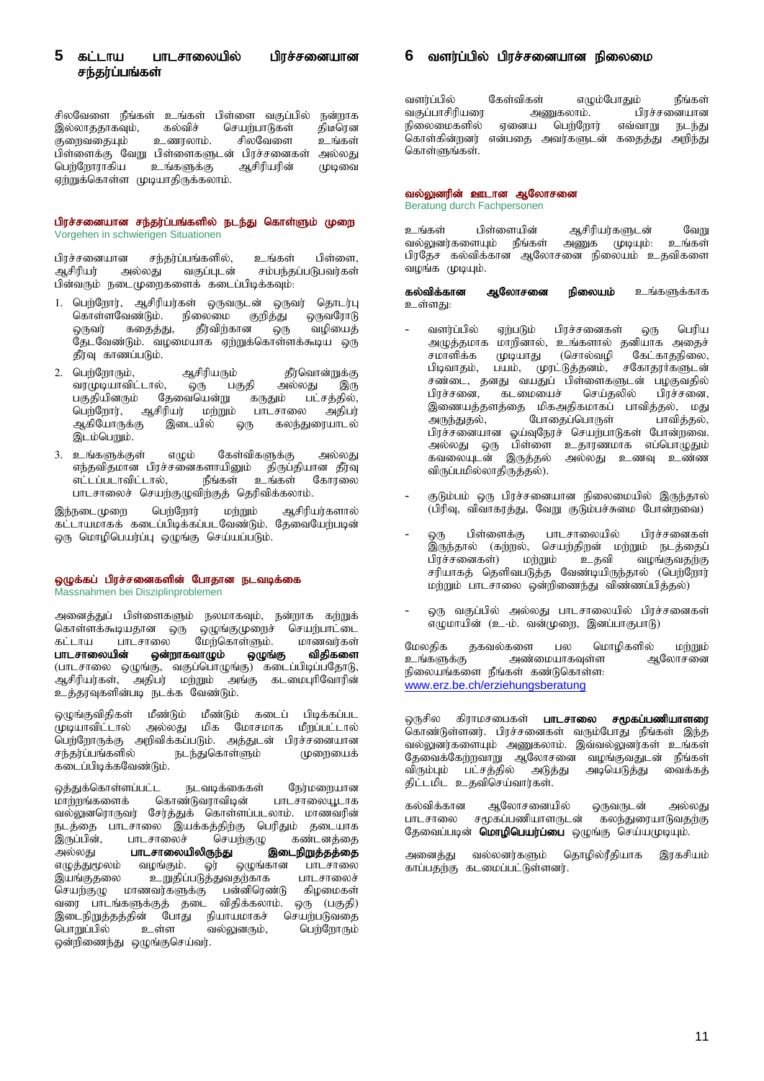# <span id="page-11-0"></span>5 கட்டாய பாடசாலையில் பிரச்சனையான சந்தர்ப்பங்கள்

சிலவேளை நீங்கள் உங்கள் பிள்ளை வகுப்பில் நன்றாக<br>இல்லாகதாகவும், கல்விச் செயர்பாடுகள் திடீரென இல்லாததாகவும், கல்விச் செயற்பாடுகள் திடீரென<br>குளைவகையும் உணாலாம். சிலவேளை உங்கள் குறைவகையும் gps;isf;F NtW gps;isfSld; gpur ;ridfs; my;yJ பெற்றோராகிய ஏற்றுக்கொள்ள முடியாதிருக்கலாம்.

### <span id="page-11-1"></span>பிரச்சனையான சந்தர்ப்பங்களில் நடந்து கொள்ளும் முறை Vorgehen in schwierigen Situationen

பிரச்சனையான சந்தர்ப்பங்களில், உங்கள் பிள்ளை,<br>ஆசிரியர் அல்லது வகுப்புடன் சம்பந்தப்படுபவர்கள் சம்பந்தப்படுபவர்கள் பின்வரும் நடைமுறைகளைக் கடைப்பிடிக்கவும்:

- 1. பெற்றோர், ஆசிரியர்கள் ஒருவருடன் ஒருவர் தொடர்பு<br>கொள்ளவேண்டும். நிலைமை குறித்து ஒருவரோடு கொள்ளவேண்டும். நிலைமை குறித்து ஒருவரோடு<br>ஒருவர் கதைத்து, தீர்விற்கான ஒரு வழியைத் .<br>தீர்விற்கான தேடவேண்டும். வழமையாக ஏற்றுக்கொள்ளக்கூடிய ஒரு தீர்வு காணப்படும்.
- 2. ngw ;NwhUk;> MrpupaUk; j Pu;nthd;Wf;F வரமுடியாவிட்டால், ஒரு பகுதி அல்லது இரு<br>பகுதியினரும் தேவையென்று கருதும் பட்சத்தில், பகுதியினரும் தேவையென்று கருதும் பட்சத்தில்,<br>பெர்ளோர், ஆசிரியர் மர்றும் பாடசாலை அகிபர் பெற்றோர், ஆசிரியர் மற்றும்<br>ஆகியோருக்கு இடையில் ஒரு கலந்துரையாடல் இடம்பெறும்.
- 3. உங்களுக்குள் எழும் கேள்விகளுக்கு அல்லது ve;jtpjkhd gpur ;ridfshapDk; jpUg ;jpahd j Pu;T நீங்கள் உங்கள் பாடசாலைச் செயற்குழுவிற்குத் தெரிவிக்கலாம்.

இந்நடைமுறை பெற்றோர் மற்றும் ஆசிரியர்களால்  $\widetilde{\mathcal{L}}$ டாயமாகக் கடைப்பிடிக்கப்படவேண்டும். தேவையேற்படின் ஒரு மொழிபெயர்ப்பு ஒழுங்கு செய்யப்படும்.

### <span id="page-11-2"></span>ஒழுக்கப் பிரச்சனைகளின் போதான நடவடிக்கை

Massnahmen bei Disziplinproblemen

அனைத்துப் பிள்ளைகளும் நலமாகவும், நன்றாக கற்றுக்<br>கொள்ளக்கூடியதான ஒரு ஒழுங்குமுறைச் செயற்பாட்டை கொள்ளக்கூடியதான ஒரு ஒழுங்குமுறைச் செயற்பாட்டை<br>கட்டாய பாடசாலை - மேற்கொள்ளும், மாணவர்கள் ்கட்டாய பாட்சாலை மேற்கொள்ளும். மாணவர்கள்<br>**பாடசாலையின் ஒன்றாகவாழும் ஒழுங்கு விதிகளை** னைநாகவாழும் $\tilde{\bf e}$ (பாடசாலை ஒழுங்கு, வகுப்பொழுங்கு) கடைப்பிடிப்பதோடு, ,<br>ஆசிரியர்கள், அதிபர் மற்றும் அங்கு கடமைபுரிவோரின் உத்தரவுகளின்படி நடக்க வேண்டும்.

ஒழுங்குவிதிகள் மீண்டும் மீண்டும் கடைப் பிடிக்கப்பட<br>முடியாவிட்டால் அல்லது மிக மோசமாக மீறப்பட்டால் மிக மோசமாக மீறப்பட்டால் ngw ;NwhUf;F mwptpf;fg ;gLk;. mj ;Jld ; gpur;ridahd நடந்துகொள்ளும்  $\ddot{\phantom{\phi}}$ கடைப்பிடிக்கவேண்டும்.

ஒத்துக்கொள்ளப்பட்ட நடவடிக்கைகள் நேர்மறையான<br>மாற்றங்களைக் கொண்டுவராவிடின் பாடசாலையூடாக கொண்டுவராவிடின் வல்லுனரொருவர் சேர்த்துக் கொள்ளப்படலாம். மாணவரின் elj ;ij ghlrhiy ,af;fj ;jpw ;F ngupJk; jilahf .<br>இருப்பின், பாடசாலைச் செயற்குழு கண்டனத்தை<br>அல்லது **பாடசாலையிலிருந்து இடைநிறுத்தத்தை பாடசாலையிலிருந்து , இடைநிறுத்தத்தை**<br>, வழங்கும். ஓர் ஒழுங்கான பாடசாலை எழுத்துமூலம் வழங்கும். ஓர் ஒழுங்கான பாட்சாலை<br>இயங்குதலை உறுதிப்படுத்துவதற்காக பாடசாலைச் இயங்குதலை உறுதிப்படுத்துவதற்காக பாடசாலைச்<br>செயற்குழு மாணவர்களுக்கு பன்னிரெண்டு கிழமைகள் ் மாணவர்களுக்கு பன்னிரெண்டு கிழமைகள்<br>ங்களுக்குத் தடை விதிக்கலாம். ஒரு (பகுதி) வரை பாடங்களுக்குத் தடை விதிக்கலாம். ஒரு (பகுதி)<br>இடைநிறுத்தத்தின் போது நியாயமாகச் செயற்படுவதை ,ilepWj ;jj ;jpd; NghJ epahakhfr; nraw ;gLtij வல்லுனரும், ஒன்றிணைந்து ஒழுங்குசெய்வர்.

# <span id="page-11-3"></span>6 வளர்ப்பில் பிரச்சனையான நிலைமை

வளர்ப்பில் கேள்விகள் எழும்போதும் நீங்கள்<br>வகுப்பாசிரியரை அணுகலாம். பிரச்சனையான வகுப்பாசிரியரை அணுகலாம். பிரச்சனையான<br>நிலைமைகளில் ஏனைய பெற்றோர் எவ்வாறு நடந்து நிலைமைகளில் ஏனைய பெற்றோர் எவ்வாறு நடந்து<br>கொள்கின்றனர் என்பதை அவர்களுடன் கதைத்து அறிந்து .<br>கொள்கின்றனர் என்பதை அவர்களுடன் கதைத்து கொள்ளுங்கள்.

# <span id="page-11-4"></span>வல்லுனரின் ஊடான ஆலோசனை

Beratung durch Fachpersonen

உங்கள் பிள்ளையின் ஆசிரியர்களுடன் வேறு<br>வல்லுனர்களையும் நீங்கள் அணுக முடியும்: உங்கள் வல்லுனர்களையும் நீங்கள் பிரதேச கல்விக்கான ஆலோசனை நிலையம் உதவிகளை வழங்க முடியும்.

கல்விக்கான ஆலோசனை நிலையம் உங்களுக்காக உள்ளது:

- வளர்ப்பில் ஏற்படும் பிரச்சனைகள் ஒரு பெரிய அழுத்தமாக மாறினால், உங்களால் தனியாக அதைச்<br>சமாளிக்க முடியாது (சொல்வழி கேட்காதநிலை, சமாளிக்க முடியாது (சொல்வழி கேட்காதநிலை,<br>பிடிவாகம், பயம், மாட்டுக்கனம், சகோகார்களுடன் பயம், முரட்டுத்தனம். சண்டை, தனது வயதுப் பிள்ளைகளுடன் பழகுவதில்<br>பிரச்சனை, கடமையைச் செய்தலில் பிரச்சனை, ்<br>கடமையைச் இணையத்தளத்தை மிகஅதிகமாகப் பாவித்தல், மது<br>அருந்துதல், போதைப்பொருள் பாவித்தல், போதைப்பொருள் பிரச்சனையான ஒய்வுநேரச் செயற்பாடுகள் போன்றவை. ستستستقر به المستقرر المستقرر المستقرر المستقرر المستقرر المستقرر بها المستقرر المستقرر بها المستقرر بها المست<br>المستقرر بن المستقرر بن المستقرر المستقرر المستقرر المستقرر المستقرر المستقرر بن المستقرر المستقرر المستقرر ال ்.<br>கவலையுடன் இருத்தல் விருப்பமில்லாதிருத்தல்).
- குடும்பம் ஒரு பிரச்சனையான நிலைமையில் இருந்தால் ் (பிரிவு, விவாகரத்து, வேறு குடும்பச்சுமை போன்றவை)
- ஒரு பிள்ளைக்கு பாடசாலையில் பிரச்சனைகள் இருந்தால் (கற்றல், செயற்திறன் மற்றும் நடத்தைப்<br>பிரச்சனைகள்) மற்றும் உதவி வழங்குவதற்கு .<br>வமங்குவதற்கு சரியாகத் தெளிவபடுத்த வேண்டியிருந்தால் (பெற்றோர் மற்றும் பாடசாலை ஒன்றிணைந்து விண்ணப்பித்தல்)
- ஒரு வகுப்பில் அல்லது பாடசாலையில் பிரச்சனைகள் எழுமாயின் (உ-ம். வன்முறை, இனப்பாகுபாடு)

மேலதிக தகவல்களை பல மொழிகளில் மற்றும்<br>உங்களுக்கு அண்மையாகவுள்ள ஆலோசனை அண்மையாகவுள்ள .<br>நிலையங்களை நீங்கள் கண்டுகொள்ள: [www.erz.be.ch/erziehungsberatung](http://www.erz.be.ch/erz/de/index/erziehungsberatung/erziehungsberatung/ueber_uns.html)

ஒருசில கிராமசபைகள் **பாடசாலை சமூகப்பணியாளரை** .<br>கொண்டுள்ளனர். பிரச்சனைகள் வரும்போது நீங்கள் இந்த வல்லுனர்களையும் அணுகலாம். இவ்வல்லுனர்கள் உங்கள் தேவைக்கேற்றவாறு ஆலோசனை வழங்குவதுடன் நீங்கள்<br>விரும்பும் பட்சத்தில் அடுத்து அடியெடுத்து வைக்கத் விரும்பும் பட்சத்தில் திட்டமிட உதவிசெய்வார்கள்.

கல்விக்கான ஆலோசனையில் ஒருவருடன் அல்லது<br>பாடசாலை சமூகப்பணியாளருடன் கலந்துரையாடுவதற்கு சமூகப்பணியாளருடன் தேவைப்படின் **மொழிபெயர்ப்பை** ஒழுங்கு செய்யமுடியும்.

அனைத்து வல்லனர்களும் தொழில்ரீதியாக இரகசியம் காப்பகர்கு கடமைப்பட்டுள்ளனர்.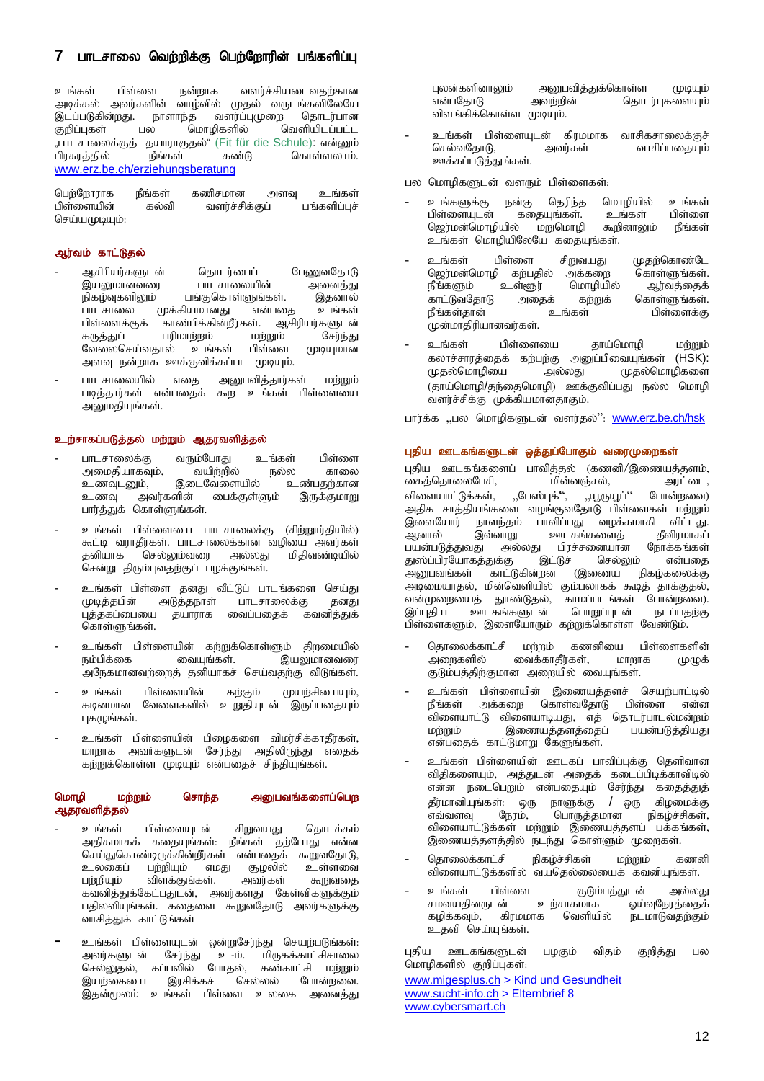# <span id="page-12-0"></span>7 பாடசாலை வெற்றிக்கு பெற்றோரின் பங்களிப்பு

உங்கள் பிள்ளை நன்றாக வளர்ச்சியடைவகற்கான அடிக்கல் அவர்களின் வாழ்வில் முதல் வருடங்களிலேயே<br>இடப்படுகின்றது. நாளாந்த வளர்ப்புமுறை தொடர்பான இடப்படுகின்றது. நாளாந்த வளர்ப்புமுறை தொடர்பான<br>குறிப்புகள் பல மொழிகளில் வெளியிடப்பட்ட வெளியிடப்பட்ட "ghlrhiyf;Fj ; jahuhFjy;" (Fit für die Schule): vd;Dk ; கொள்ளலாம். [www.erz.be.ch/erziehungsberatung](http://www.erz.be.ch/erz/de/index/erziehungsberatung/erziehungsberatung/fachinformationen/fit_fuer_die_schule/broschueren.html)

பெற்றோராக நீங்கள் கணிசமான அளவு உங்கள்<br>பிள்ளையின் கல்வி வளர்ச்சிக்குப் பங்களிப்பச் வளர்ச்சிக்குப் செய்யமுடியும்:

## <span id="page-12-1"></span>ஆர்வம் காட்டுதல்

- ஆசிரியர்களுடன் தொடர்பைப் பேணுவதோடு இயலுமானவரை பாடசாலையின் அனைத்து<br>நிகழ்வுகளிலும் பங்குகொள்ளுங்கள். இதனால் நிகழ்வுகளிலும் பங்குகொள்ளுங்கள். இதனால்<br>பாடசாலை முக்கியமானது என்பகை உங்கள் முக்கியமானது பிள்ளைக்குக் காண்பிக்கின்றீர்கள். ஆசிரியர்களுடன்<br>கருத்துப் பரிமாற்றம் மற்றும் சேர்ந்து ் பரிமாற்றம் மற்றும் சேர்ந்து<br>ரல் உங்கள் பிள்ளை முடியுமான வேலைசெய்வதால் அளவு நன்றாக ஊக்குவிக்கப்பட முடியும்.
- பாடசாலையில் எதை அனுபவித்தார்கள் மற்றும் படித்தார்கள் என்பதைக் கூற உங்கள் பிள்ளையை அனுமதியுங்கள்.

# <span id="page-12-2"></span>உற்சாகப்படுத்தல் மற்றும் ஆதரவளித்தல்

- பாடசாலைக்கு வரும்போது உங்கள் பிள்ளை<br>அமைதியாகவும், வயிற்றில் நல்ல காலை அமைதியாகவும், வயிற்றில் நல்ல காலை<br>உணவுடனும், இடைவேளையில் உண்பதற்கான உணவுடனும், இடைவேளையில் உண்பதற்கான<br>உணவு அவர்களின் பைக்குள்ளும் இருக்குமாறு பைக்குள்ளும் பார்த்துக் கொள்ளுங்கள்.
- உங்கள் பிள்ளையை பாடசாலைக்கு (சிற்றூர்தியில்) \$l;b tuhjPu;fs;. ghlrhiyf;fhd topia mtu;fs; .<br>பிகிவண்டியில் .<br>சென்று திரும்புவதற்குப் பழக்குங்கள்.
- உங்கள் பிள்ளை தனது வீட்டுப் பாடங்களை செய்து<br>முடிக்கபின் அடுக்கநாள் பாடசாலைக்க கனகு அடுத்தநாள் பாடசாலைக்கு தனது பத்தகப்பையை தயாராக வைப்பதைக் கவனித்துக் கொள்ளுங்கள்.
- உங்கள் பிள்ளையின் கற்றுக்கொள்ளும் திறமையில்<br>நம்பிக்கை வையுங்கள். இயலுமானவரை .<br>இயலுமானவரை .<br>அநேகமானவற்றைத் தனியாகச் செய்வதற்கு விடுங்கள்.
- உங்கள் பிள்ளையின் கற்கும் முயற்சியையும், கடினமான வேளைகளில் உறுதியுடன் இருப்பதையும் புக $(\mu$ ங்கள்.
- உங்கள் பிள்ளையின் பிழைகளை விமர்சிக்காதீர்கள், மாறாக அவர்களுடன் சேர்ந்து அதிலிருந்து எதைக் கற்றுக்கொள்ள முடியும் என்பதைச் சிந்தியுங்கள்.

# மொமி மற்றும் சொந்த அபைவங்களைப்பொ ஆதரவளித்தல்

- உங்கள் பிள்ளையுடன் சிறுவயது தொடக்கம் அதிகமாகக் கதையுங்கள்: நீங்கள் தற்போது என்ன செய்துகொண்டிருக்கின்றீர்கள் என்பதைக் கூறுவதோடு,<br>உலகைப் பற்றியும் எமது சூழலில் உள்ளவை உலகைப் பற்றியும் எமது சூழலில் உள்ளவை<br>பற்றியம் விளக்கங்கள். அவர்கள் கூறுவகை .<br>விளக்குங்கள். கவனித்துக்கேட்பதுடன், அவர்களது கேள்விகளுக்கும் பதிலளியுங்கள். கதைளை கூறுவதோடு அவர்களுக்கு வாசித்துக் காட்டுங்கள்
- உங்கள் பிள்ளையுடன் ஒன்றுசேர்ந்து செயற்படுங்கள்.<br>அவர்களுடன் சேர்ந்து உ-ம். மிருகக்காட்சிசாலை சேர்ந்து உ-ம். மிருகக்காட்சிசாலை<br>ப்பலில் போகல். கண்காட்சி மா்்ாம் செல்லுதல், கப்பலில் போதல், கண்காட்சி மற்றும்<br>இயற்கையை இரசிக்கச் செல்லல் போன்றவை யுர்தையை .<br>இதன்மூலம் உங்கள் பிள்ளை உலகை அனைத்து

புலன்களினாலும் அனுபவித்துக்கொள்ள முடியும்<br>என்பதோடு அவற்றின் தொடர்புகளையும் தொடர்புகளையும் விளங்கிக்கொள்ள முடியும்.

- cq;fs; gps;isAld; fpukkhf thrpfrhiyf;Fr ; வாசிப்பகையும் ஊக்கப்படுத்துங்கள்.

பல மொழிகளுடன் வளரும் பிள்ளைகள்:

- உங்களுக்கு நன்கு தெரிந்த மொழியில் உங்கள்<br>பிள்ளையுடன் கதையுங்கள். உங்கள் பிள்ளை ்கதையுங்கள். உங்கள் பிள்ளை<br>ல் மறுமொழி கூறினாலும் நீங்கள் ஜெர்மன்மொழியில் ு.<br>உங்கள் மொழியிலேயே கதையுங்கள்.
- உங்கள் பிள்ளை சிறுவயது முதற்கொண்டே<br>ஜெர்மன்மொழி கற்பதில் அக்கறை கொள்ளுங்கள். ஜெர்மன்மொழி கற்பதில் அக்கறை<br>நீங்களும் உள்ளூர் மொழியில் நீங்களும் உள்ளூர் மொழியில் ஆர்வத்தைக்<br>காட்டுவதோடு அதைக் கற்றுக் கொள்ளுங்கள். க் கற்றுக் கொள்ளுங்கள்.<br>உங்கள் பிள்ளைக்கு நீங்கள்தான் முன்மாதிரியானவர்கள்.
- உங்கள் பிள்ளையை தாய்மொழி மற்றும் .<br>கலாச்சாரத்தைக் கற்பற்கு அனுப்பிவையுங்கள் (HSK):<br>முதல்மொழியை அல்லது முதல்மொழிகளை முதல்மொழிகளை  $(\bar{g}$ ாய்மொழி/தந்தைமொழி) ஊக்குவிப்பது நல்ல மொழி வளர்ச்சிக்கு முக்கியமானதாகும்.

பார்க்க "பல மொழிகளுடன் வளர்கல்": [www.erz.be.ch/hsk](http://www.erz.be.ch/hsk)

### <span id="page-12-3"></span>புதிய ஊடகங்களுடன் ஒத்துப்போகும் வரைமுறைகள்

Gjpa Clfq;fisg; ghtpj;jy; (fzdpÆ,izaj;jsk;> கைத்தொலைபேசி, விளையாட்டுக்கள், "பேஸ்புக்", "யூருயூப்" போன்றவை) அதிக சாத்தியங்களை வழங்குவதோடு பிள்ளைகள் மற்றும்<br>இளையோர் நாளந்தம் பாவிப்பது வழக்கமாகி விட்டது. இளையோர் நாளந்தம் பாவிப்பது வழக்கமாகி விட்டது.<br>ஆனால் இவ்வாறு ஊடகங்களைத் தீவிரமாகப் ்.<br>வாறு ஊடகங்களைத் தீவிரமாகப்<br>அல்லது பிரச்சனையான நோக்கங்கள் பயன்படுத்துவது அல்லது பிரச்சனையான நோக்கங்கள்<br>துஸ்ப்பிரயோகத்துக்கு இட்டுச் செல்லும் என்பதை துஸ்ப்பிரயோகத்துக்கு இட்டுச் செல்லும் என்பதை<br>அனுபவங்கள் காட்டுகின்றன (இணைய நிகழ்கலைக்கு gg<br>காட்டுகின்றன அடிமையாதல், மின்வெளியில் கும்பலாகக் கூடித் தாக்குதல்,<br>வன்முறையைத் தூண்டுதல், காமப்படங்கள் போன்றவை). வன்முறையைத் தூண்டுதல், காமப்படங்கள் போன்றவை).<br>இப்புதிய ஊடகங்களுடன் பொறுப்புடன் நடப்பதற்கு <u>ஊடகங்களுடன்</u>  $\tilde{\Pi}$ ள்ளைகளும், இளையோரும் கற்றுக்கொள்ள வேண்டும்.

- தொலைக்காட்சி மற்றம் கணனியை பிள்ளைகளின்<br>அளைகளில் வைக்காகீர்கள். மாறாக முமக் வைக்காகீர்கள். குடும்பத்திற்குமான அறையில் வையுங்கள்.
- உங்கள் பிள்ளையின் இணையத்தளச் செயற்பாட்டில்  $\mathfrak f$ ங்கள் அக்கறை கொள்வதோடு பிள்ளை என்ன ்விளையாட்டு விளையாடியது, எத் தொடர்பாடல்மன்றம்<br>மற்றும் இணையத்தளத்தைப் பயன்படுத்தியது இணையத்தளத்தைப் என்பதைக் காட்டுமாறு கேளுங்கள்.
- உங்கள் பிள்ளையின் ஊடகப் பாவிப்புக்கு தெளிவான விதிகளையும், அத்துடன் அதைக் கடைப்பிடிக்காவிடில் என்ன நடைபெறும் என்பதையும் சேர்ந்து கதைத்துத் தீர்மானியுங்கள்: ஒரு நாளுக்கு / ஒரு கிழமைக்கு<br>எவ்வளவு நேரம், பொருத்தமான நிகழ்ச்சிகள், பொருத்தமான விளையாட்டுக்கள் மற்றும் இணையத்தளப் பக்கங்கள், இணையத்தளத்தில் நடந்து கொள்ளும் முறைகள்.
- தொலைக்காட்சி நிகழ்ச்சிகள் மற்றும் கணனி விளையாட்டுக்களில் வயதெல்லையைக் கவனியுங்கள்.
- உங்கள் பிள்ளை குடும்பத்துடன் அல்லது<br>சமவயதினருடன் உற்சாகமாக ஓய்வுநேரத்தைக் சமவயதினருடன் உற்சாகமாக ஒய்வுநேரத்தைக்<br>கழிக்கவும், கிரமமாக வெளியில் நடமாடுவதற்கும் .<br>நடமாடுவதற்கும் உதவி செய்யுங்கள்.

புதிய ஊடகங்களுடன் பழகும் விதம் குறித்து பல மொழிகளில் குறிப்புகள்:

[www.migesplus.ch](http://www.migesplus.ch/index.php?id=8&uid=167&L=0) > Kind und Gesundheit [www.sucht-info.ch](http://www.sucht-info.ch/de/info-materialien/paedagogisches-material/eltern/) > Elternbrief 8 [www.cybersmart.ch](http://www.cybersmart.ch/)